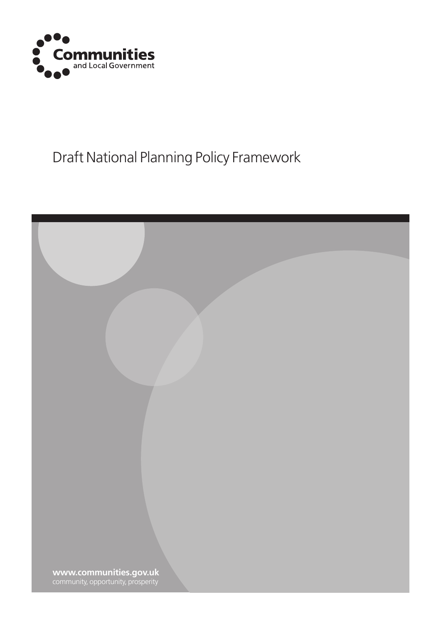

# Draft National Planning Policy Framework

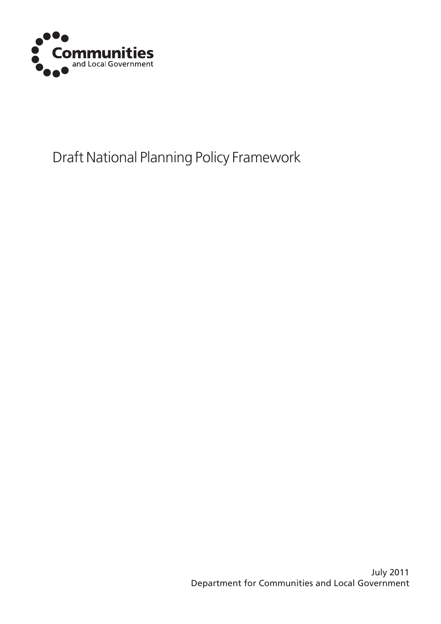

# Draft National Planning Policy Framework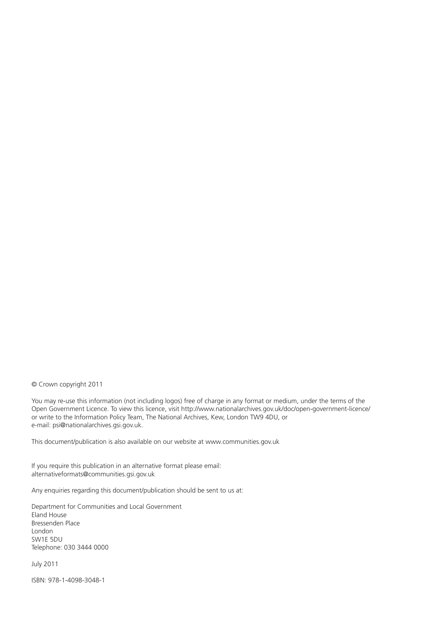© Crown copyright 2011

You may re-use this information (not including logos) free of charge in any format or medium, under the terms of the Open Government Licence. To view this licence, visit http://www.nationalarchives.gov.uk/doc/open-government-licence/ or write to the Information Policy Team, The National Archives, Kew, London TW9 4DU, or e-mail: psi@nationalarchives.gsi.gov.uk.

This document/publication is also available on our website at www.communities.gov.uk

If you require this publication in an alternative format please email: alternativeformats@communities.gsi.gov.uk

Any enquiries regarding this document/publication should be sent to us at:

Department for Communities and Local Government Eland House Bressenden Place London SW1E 5DU Telephone: 030 3444 0000

July 2011

ISBN: 978-1-4098-3048-1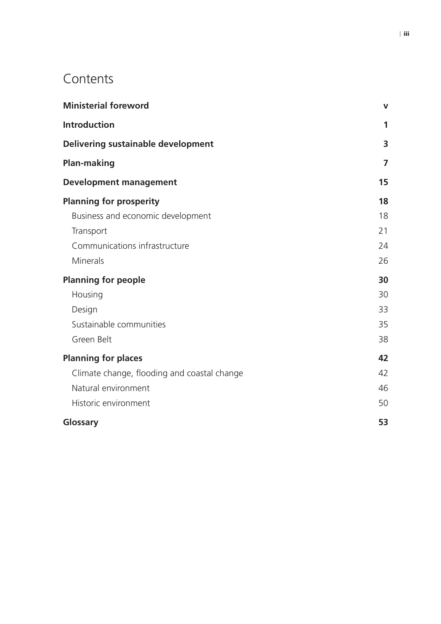## **Contents**

| <b>Ministerial foreword</b>                 | V              |
|---------------------------------------------|----------------|
| <b>Introduction</b>                         | 1              |
| Delivering sustainable development          | 3              |
| <b>Plan-making</b>                          | $\overline{7}$ |
| <b>Development management</b>               | 15             |
| <b>Planning for prosperity</b>              | 18             |
| Business and economic development           | 18             |
| Transport                                   | 21             |
| Communications infrastructure               | 24             |
| Minerals                                    | 26             |
| <b>Planning for people</b>                  | 30             |
| Housing                                     | 30             |
| Design                                      | 33             |
| Sustainable communities                     | 35             |
| Green Belt                                  | 38             |
| <b>Planning for places</b>                  | 42             |
| Climate change, flooding and coastal change | 42             |
| Natural environment                         | 46             |
| Historic environment                        | 50             |
| Glossary                                    | 53             |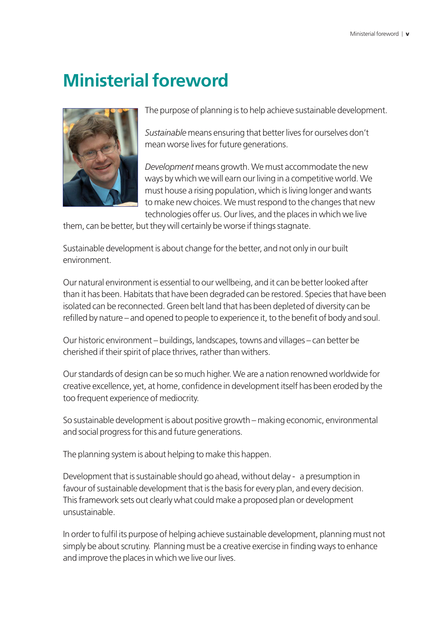# <span id="page-4-0"></span>**Ministerial foreword**



The purpose of planning is to help achieve sustainable development.

*Sustainable* means ensuring that better lives for ourselves don't mean worse lives for future generations.

*Development* means growth. We must accommodate the new ways by which we will earn our living in a competitive world. We must house a rising population, which is living longer and wants to make new choices. We must respond to the changes that new technologies offer us. Our lives, and the places in which we live

them, can be better, but they will certainly be worse if things stagnate.

Sustainable development is about change for the better, and not only in our built environment.

Our natural environment is essential to our wellbeing, and it can be better looked after than it has been. Habitats that have been degraded can be restored. Species that have been isolated can be reconnected. Green belt land that has been depleted of diversity can be refilled by nature – and opened to people to experience it, to the benefit of body and soul.

Our historic environment – buildings, landscapes, towns and villages – can better be cherished if their spirit of place thrives, rather than withers.

Our standards of design can be so much higher. We are a nation renowned worldwide for creative excellence, yet, at home, confidence in development itself has been eroded by the too frequent experience of mediocrity.

So sustainable development is about positive growth – making economic, environmental and social progress for this and future generations.

The planning system is about helping to make this happen.

Development that is sustainable should go ahead, without delay - a presumption in favour of sustainable development that is the basis for every plan, and every decision. This framework sets out clearly what could make a proposed plan or development unsustainable.

In order to fulfil its purpose of helping achieve sustainable development, planning must not simply be about scrutiny. Planning must be a creative exercise in finding ways to enhance and improve the places in which we live our lives.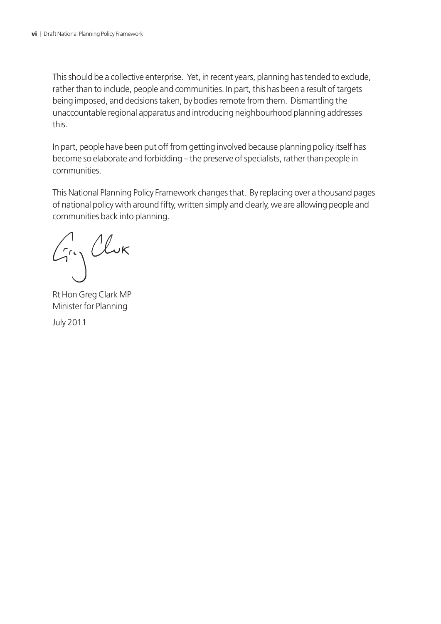This should be a collective enterprise. Yet, in recent years, planning has tended to exclude, rather than to include, people and communities. In part, this has been a result of targets being imposed, and decisions taken, by bodies remote from them. Dismantling the unaccountable regional apparatus and introducing neighbourhood planning addresses this.

In part, people have been put off from getting involved because planning policy itself has become so elaborate and forbidding – the preserve of specialists, rather than people in communities.

This National Planning Policy Framework changes that. By replacing over a thousand pages of national policy with around fifty, written simply and clearly, we are allowing people and communities back into planning.

 $C_{\text{in}}$  (luk

Rt Hon Greg Clark MP Minister for Planning July 2011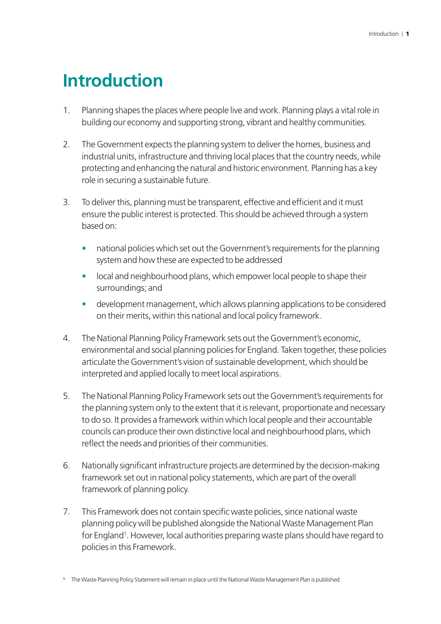# <span id="page-6-0"></span>**Introduction**

- 1. Planning shapes the places where people live and work. Planning plays a vital role in building our economy and supporting strong, vibrant and healthy communities.
- 2. The Government expects the planning system to deliver the homes, business and industrial units, infrastructure and thriving local places that the country needs, while protecting and enhancing the natural and historic environment. Planning has a key role in securing a sustainable future.
- 3. To deliver this, planning must be transparent, effective and efficient and it must ensure the public interest is protected. This should be achieved through a system based on:
	- national policies which set out the Government's requirements for the planning system and how these are expected to be addressed
	- local and neighbourhood plans, which empower local people to shape their surroundings; and
	- development management, which allows planning applications to be considered on their merits, within this national and local policy framework.
- 4. The National Planning Policy Framework sets out the Government's economic, environmental and social planning policies for England. Taken together, these policies articulate the Government's vision of sustainable development, which should be interpreted and applied locally to meet local aspirations.
- 5. The National Planning Policy Framework sets out the Government's requirements for the planning system only to the extent that it is relevant, proportionate and necessary to do so. It provides a framework within which local people and their accountable councils can produce their own distinctive local and neighbourhood plans, which reflect the needs and priorities of their communities.
- 6. Nationally significant infrastructure projects are determined by the decision-making framework set out in national policy statements, which are part of the overall framework of planning policy.
- 7. This Framework does not contain specific waste policies, since national waste planning policy will be published alongside the National Waste Management Plan for England<sup>1</sup>. However, local authorities preparing waste plans should have regard to policies in this Framework.

**<sup>1</sup>** The Waste Planning Policy Statement will remain in place until the National Waste Management Plan is published.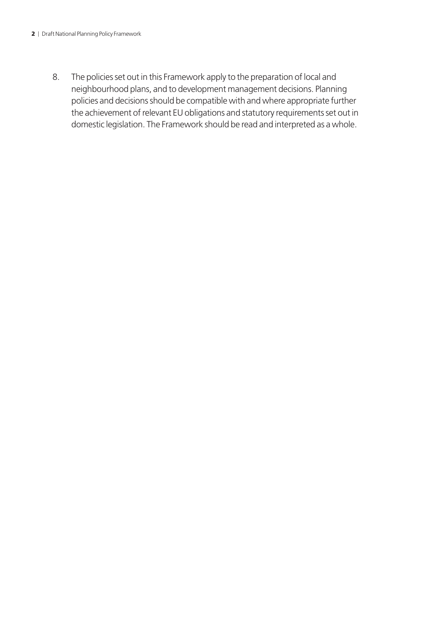8. The policies set out in this Framework apply to the preparation of local and neighbourhood plans, and to development management decisions. Planning policies and decisions should be compatible with and where appropriate further the achievement of relevant EU obligations and statutory requirements set out in domestic legislation. The Framework should be read and interpreted as a whole.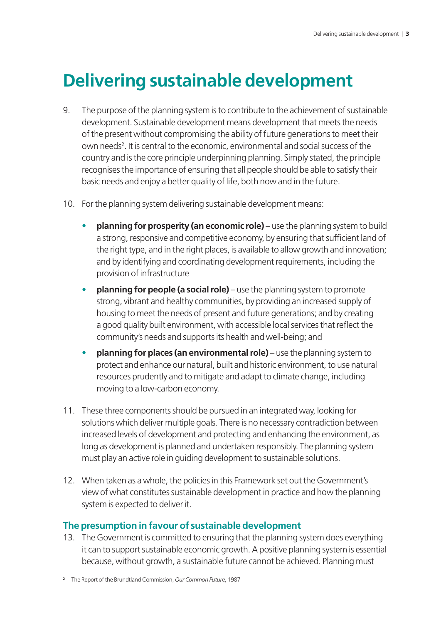# <span id="page-8-0"></span>**Delivering sustainable development**

- 9. The purpose of the planning system is to contribute to the achievement of sustainable development. Sustainable development means development that meets the needs of the present without compromising the ability of future generations to meet their own needs<sup>2</sup>. It is central to the economic, environmental and social success of the country and is the core principle underpinning planning. Simply stated, the principle recognises the importance of ensuring that all people should be able to satisfy their basic needs and enjoy a better quality of life, both now and in the future.
- 10. For the planning system delivering sustainable development means:
	- **planning for prosperity (an economic role)** use the planning system to build a strong, responsive and competitive economy, by ensuring that sufficient land of the right type, and in the right places, is available to allow growth and innovation; and by identifying and coordinating development requirements, including the provision of infrastructure
	- • **planning for people (a social role)** use the planning system to promote strong, vibrant and healthy communities, by providing an increased supply of housing to meet the needs of present and future generations; and by creating a good quality built environment, with accessible local services that reflect the community's needs and supports its health and well-being; and
	- • **planning for places (an environmental role)** use the planning system to protect and enhance our natural, built and historic environment, to use natural resources prudently and to mitigate and adapt to climate change, including moving to a low-carbon economy.
- 11. These three components should be pursued in an integrated way, looking for solutions which deliver multiple goals. There is no necessary contradiction between increased levels of development and protecting and enhancing the environment, as long as development is planned and undertaken responsibly. The planning system must play an active role in guiding development to sustainable solutions.
- 12. When taken as a whole, the policies in this Framework set out the Government's view of what constitutes sustainable development in practice and how the planning system is expected to deliver it.

#### **The presumption in favour of sustainable development**

13. The Government is committed to ensuring that the planning system does everything it can to support sustainable economic growth. A positive planning system is essential because, without growth, a sustainable future cannot be achieved. Planning must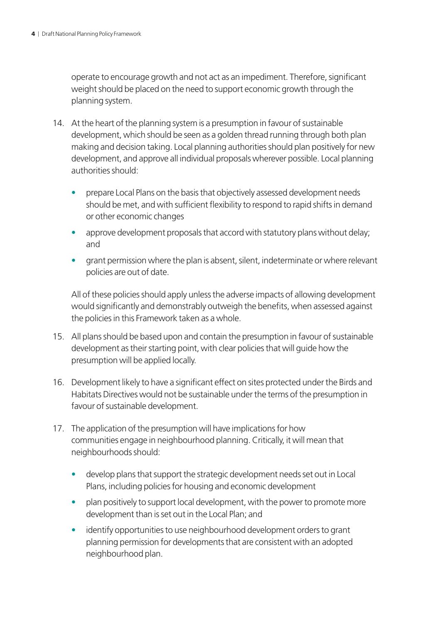operate to encourage growth and not act as an impediment. Therefore, significant weight should be placed on the need to support economic growth through the planning system.

- 14. At the heart of the planning system is a presumption in favour of sustainable development, which should be seen as a golden thread running through both plan making and decision taking. Local planning authorities should plan positively for new development, and approve all individual proposals wherever possible. Local planning authorities should:
	- prepare Local Plans on the basis that objectively assessed development needs should be met, and with sufficient flexibility to respond to rapid shifts in demand or other economic changes
	- approve development proposals that accord with statutory plans without delay; and
	- grant permission where the plan is absent, silent, indeterminate or where relevant policies are out of date.

All of these policies should apply unless the adverse impacts of allowing development would significantly and demonstrably outweigh the benefits, when assessed against the policies in this Framework taken as a whole.

- 15. All plans should be based upon and contain the presumption in favour of sustainable development as their starting point, with clear policies that will guide how the presumption will be applied locally.
- 16. Development likely to have a significant effect on sites protected under the Birds and Habitats Directives would not be sustainable under the terms of the presumption in favour of sustainable development.
- 17. The application of the presumption will have implications for how communities engage in neighbourhood planning. Critically, it will mean that neighbourhoods should:
	- develop plans that support the strategic development needs set out in Local Plans, including policies for housing and economic development
	- plan positively to support local development, with the power to promote more development than is set out in the Local Plan; and
	- identify opportunities to use neighbourhood development orders to grant planning permission for developments that are consistent with an adopted neighbourhood plan.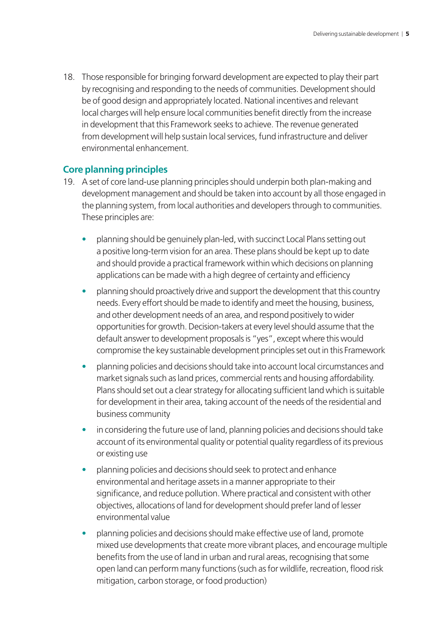18. Those responsible for bringing forward development are expected to play their part by recognising and responding to the needs of communities. Development should be of good design and appropriately located. National incentives and relevant local charges will help ensure local communities benefit directly from the increase in development that this Framework seeks to achieve. The revenue generated from development will help sustain local services, fund infrastructure and deliver environmental enhancement.

#### **Core planning principles**

- 19. A set of core land-use planning principles should underpin both plan-making and development management and should be taken into account by all those engaged in the planning system, from local authorities and developers through to communities. These principles are:
	- planning should be genuinely plan-led, with succinct Local Plans setting out a positive long-term vision for an area. These plans should be kept up to date and should provide a practical framework within which decisions on planning applications can be made with a high degree of certainty and efficiency
	- planning should proactively drive and support the development that this country needs. Every effort should be made to identify and meet the housing, business, and other development needs of an area, and respond positively to wider opportunities for growth. Decision-takers at every level should assume that the default answer to development proposals is "yes", except where this would compromise the key sustainable development principles set out in this Framework
	- planning policies and decisions should take into account local circumstances and market signals such as land prices, commercial rents and housing affordability. Plans should set out a clear strategy for allocating sufficient land which is suitable for development in their area, taking account of the needs of the residential and business community
	- in considering the future use of land, planning policies and decisions should take account of its environmental quality or potential quality regardless of its previous or existing use
	- planning policies and decisions should seek to protect and enhance environmental and heritage assets in a manner appropriate to their significance, and reduce pollution. Where practical and consistent with other objectives, allocations of land for development should prefer land of lesser environmental value
	- planning policies and decisions should make effective use of land, promote mixed use developments that create more vibrant places, and encourage multiple benefits from the use of land in urban and rural areas, recognising that some open land can perform many functions (such as for wildlife, recreation, flood risk mitigation, carbon storage, or food production)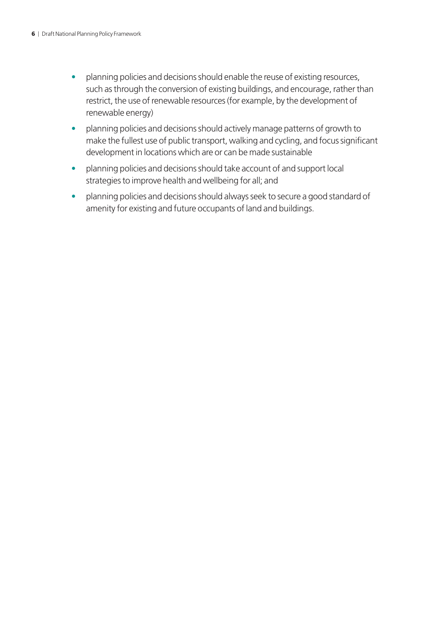- planning policies and decisions should enable the reuse of existing resources, such as through the conversion of existing buildings, and encourage, rather than restrict, the use of renewable resources (for example, by the development of renewable energy)
- planning policies and decisions should actively manage patterns of growth to make the fullest use of public transport, walking and cycling, and focus significant development in locations which are or can be made sustainable
- planning policies and decisions should take account of and support local strategies to improve health and wellbeing for all; and
- planning policies and decisions should always seek to secure a good standard of amenity for existing and future occupants of land and buildings.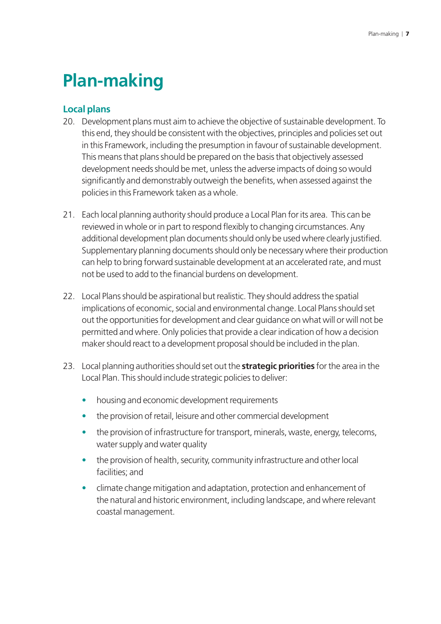# <span id="page-12-0"></span>**Plan-making**

#### **Local plans**

- 20. Development plans must aim to achieve the objective of sustainable development. To this end, they should be consistent with the objectives, principles and policies set out in this Framework, including the presumption in favour of sustainable development. This means that plans should be prepared on the basis that objectively assessed development needs should be met, unless the adverse impacts of doing so would significantly and demonstrably outweigh the benefits, when assessed against the policies in this Framework taken as a whole.
- 21. Each local planning authority should produce a Local Plan for its area. This can be reviewed in whole or in part to respond flexibly to changing circumstances. Any additional development plan documents should only be used where clearly justified. Supplementary planning documents should only be necessary where their production can help to bring forward sustainable development at an accelerated rate, and must not be used to add to the financial burdens on development.
- 22. Local Plans should be aspirational but realistic. They should address the spatial implications of economic, social and environmental change. Local Plans should set out the opportunities for development and clear guidance on what will or will not be permitted and where. Only policies that provide a clear indication of how a decision maker should react to a development proposal should be included in the plan.
- 23. Local planning authorities should set out the **strategic priorities** for the area in the Local Plan. This should include strategic policies to deliver:
	- housing and economic development requirements
	- the provision of retail, leisure and other commercial development
	- the provision of infrastructure for transport, minerals, waste, energy, telecoms, water supply and water quality
	- the provision of health, security, community infrastructure and other local facilities; and
	- climate change mitigation and adaptation, protection and enhancement of the natural and historic environment, including landscape, and where relevant coastal management.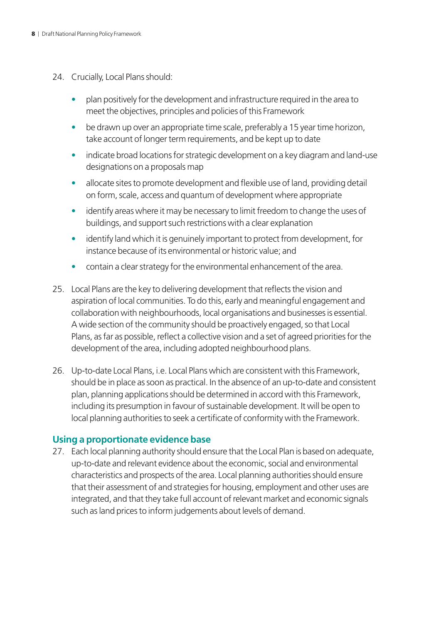- 24. Crucially, Local Plans should:
	- plan positively for the development and infrastructure required in the area to meet the objectives, principles and policies of this Framework
	- be drawn up over an appropriate time scale, preferably a 15 year time horizon, take account of longer term requirements, and be kept up to date
	- indicate broad locations for strategic development on a key diagram and land-use designations on a proposals map
	- allocate sites to promote development and flexible use of land, providing detail on form, scale, access and quantum of development where appropriate
	- identify areas where it may be necessary to limit freedom to change the uses of buildings, and support such restrictions with a clear explanation
	- identify land which it is genuinely important to protect from development, for instance because of its environmental or historic value; and
	- contain a clear strategy for the environmental enhancement of the area.
- 25. Local Plans are the key to delivering development that reflects the vision and aspiration of local communities. To do this, early and meaningful engagement and collaboration with neighbourhoods, local organisations and businesses is essential. A wide section of the community should be proactively engaged, so that Local Plans, as far as possible, reflect a collective vision and a set of agreed priorities for the development of the area, including adopted neighbourhood plans.
- 26. Up-to-date Local Plans, i.e. Local Plans which are consistent with this Framework, should be in place as soon as practical. In the absence of an up-to-date and consistent plan, planning applications should be determined in accord with this Framework, including its presumption in favour of sustainable development. It will be open to local planning authorities to seek a certificate of conformity with the Framework.

#### **Using a proportionate evidence base**

27. Each local planning authority should ensure that the Local Plan is based on adequate, up-to-date and relevant evidence about the economic, social and environmental characteristics and prospects of the area. Local planning authorities should ensure that their assessment of and strategies for housing, employment and other uses are integrated, and that they take full account of relevant market and economic signals such as land prices to inform judgements about levels of demand.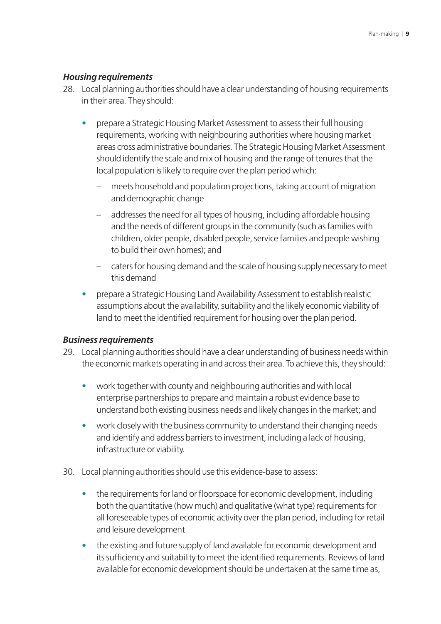#### *Housing requirements*

- 28. Local planning authorities should have a clear understanding of housing requirements in their area. They should:
	- prepare a Strategic Housing Market Assessment to assess their full housing requirements, working with neighbouring authorities where housing market areas cross administrative boundaries. The Strategic Housing Market Assessment should identify the scale and mix of housing and the range of tenures that the local population is likely to require over the plan period which:
		- meets household and population projections, taking account of migration and demographic change
		- addresses the need for all types of housing, including affordable housing and the needs of different groups in the community (such as families with children, older people, disabled people, service families and people wishing to build their own homes); and
		- caters for housing demand and the scale of housing supply necessary to meet this demand
	- prepare a Strategic Housing Land Availability Assessment to establish realistic assumptions about the availability, suitability and the likely economic viability of land to meet the identified requirement for housing over the plan period.

#### *Business requirements*

- 29. Local planning authorities should have a clear understanding of business needs within the economic markets operating in and across their area. To achieve this, they should:
	- work together with county and neighbouring authorities and with local enterprise partnerships to prepare and maintain a robust evidence base to understand both existing business needs and likely changes in the market; and
	- work closely with the business community to understand their changing needs and identify and address barriers to investment, including a lack of housing, infrastructure or viability.
- 30. Local planning authorities should use this evidence-base to assess:
	- the requirements for land or floorspace for economic development, including both the quantitative (how much) and qualitative (what type) requirements for all foreseeable types of economic activity over the plan period, including for retail and leisure development
	- the existing and future supply of land available for economic development and its sufficiency and suitability to meet the identified requirements. Reviews of land available for economic development should be undertaken at the same time as,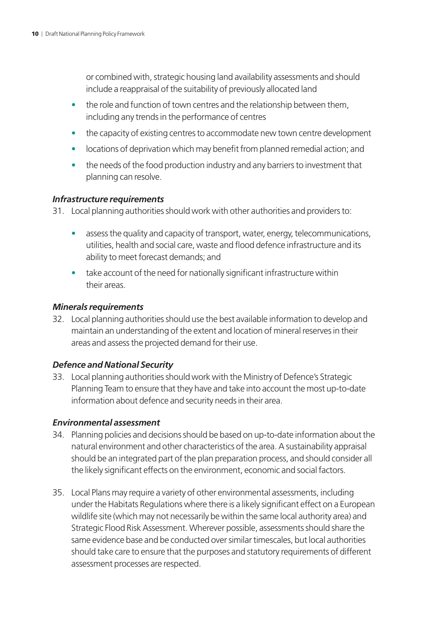or combined with, strategic housing land availability assessments and should include a reappraisal of the suitability of previously allocated land

- the role and function of town centres and the relationship between them, including any trends in the performance of centres
- the capacity of existing centres to accommodate new town centre development
- locations of deprivation which may benefit from planned remedial action; and
- the needs of the food production industry and any barriers to investment that planning can resolve.

#### *Infrastructure requirements*

31. Local planning authorities should work with other authorities and providers to:

- assess the quality and capacity of transport, water, energy, telecommunications, utilities, health and social care, waste and flood defence infrastructure and its ability to meet forecast demands; and
- take account of the need for nationally significant infrastructure within their areas.

#### *Minerals requirements*

32. Local planning authorities should use the best available information to develop and maintain an understanding of the extent and location of mineral reserves in their areas and assess the projected demand for their use.

#### *Defence and National Security*

33. Local planning authorities should work with the Ministry of Defence's Strategic Planning Team to ensure that they have and take into account the most up-to-date information about defence and security needs in their area.

#### *Environmental assessment*

- 34. Planning policies and decisions should be based on up-to-date information about the natural environment and other characteristics of the area. A sustainability appraisal should be an integrated part of the plan preparation process, and should consider all the likely significant effects on the environment, economic and social factors.
- 35. Local Plans may require a variety of other environmental assessments, including under the Habitats Regulations where there is a likely significant effect on a European wildlife site (which may not necessarily be within the same local authority area) and Strategic Flood Risk Assessment. Wherever possible, assessments should share the same evidence base and be conducted over similar timescales, but local authorities should take care to ensure that the purposes and statutory requirements of different assessment processes are respected.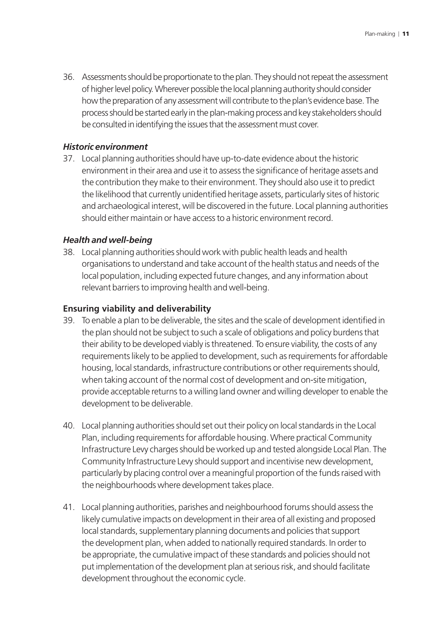36. Assessments should be proportionate to the plan. They should not repeat the assessment of higher level policy. Wherever possible the local planning authority should consider how the preparation of any assessment will contribute to the plan's evidence base. The process should be started early in the plan-making process and key stakeholders should be consulted in identifying the issues that the assessment must cover.

#### *Historic environment*

37. Local planning authorities should have up-to-date evidence about the historic environment in their area and use it to assess the significance of heritage assets and the contribution they make to their environment. They should also use it to predict the likelihood that currently unidentified heritage assets, particularly sites of historic and archaeological interest, will be discovered in the future. Local planning authorities should either maintain or have access to a historic environment record.

#### *Health and well-being*

38. Local planning authorities should work with public health leads and health organisations to understand and take account of the health status and needs of the local population, including expected future changes, and any information about relevant barriers to improving health and well-being.

#### **Ensuring viability and deliverability**

- 39. To enable a plan to be deliverable, the sites and the scale of development identified in the plan should not be subject to such a scale of obligations and policy burdens that their ability to be developed viably is threatened. To ensure viability, the costs of any requirements likely to be applied to development, such as requirements for affordable housing, local standards, infrastructure contributions or other requirements should, when taking account of the normal cost of development and on-site mitigation, provide acceptable returns to a willing land owner and willing developer to enable the development to be deliverable.
- 40. Local planning authorities should set out their policy on local standards in the Local Plan, including requirements for affordable housing. Where practical Community Infrastructure Levy charges should be worked up and tested alongside Local Plan. The Community Infrastructure Levy should support and incentivise new development, particularly by placing control over a meaningful proportion of the funds raised with the neighbourhoods where development takes place.
- 41. Local planning authorities, parishes and neighbourhood forums should assess the likely cumulative impacts on development in their area of all existing and proposed local standards, supplementary planning documents and policies that support the development plan, when added to nationally required standards. In order to be appropriate, the cumulative impact of these standards and policies should not put implementation of the development plan at serious risk, and should facilitate development throughout the economic cycle.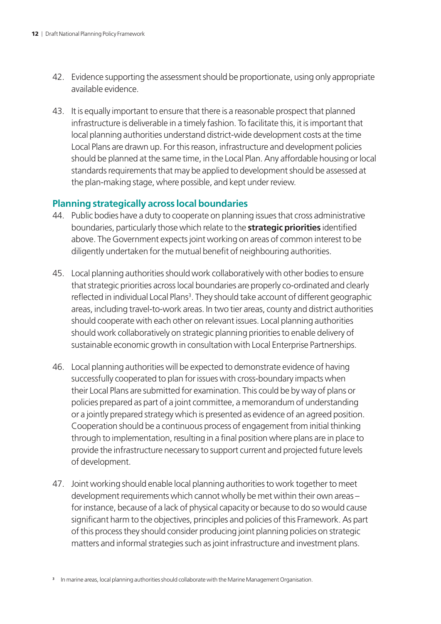- 42. Evidence supporting the assessment should be proportionate, using only appropriate available evidence.
- 43. It is equally important to ensure that there is a reasonable prospect that planned infrastructure is deliverable in a timely fashion. To facilitate this, it is important that local planning authorities understand district-wide development costs at the time Local Plans are drawn up. For this reason, infrastructure and development policies should be planned at the same time, in the Local Plan. Any affordable housing or local standards requirements that may be applied to development should be assessed at the plan-making stage, where possible, and kept under review.

#### **Planning strategically across local boundaries**

- 44. Public bodies have a duty to cooperate on planning issues that cross administrative boundaries, particularly those which relate to the **strategic priorities** identified above. The Government expects joint working on areas of common interest to be diligently undertaken for the mutual benefit of neighbouring authorities.
- 45. Local planning authorities should work collaboratively with other bodies to ensure that strategic priorities across local boundaries are properly co-ordinated and clearly reflected in individual Local Plans<sup>3</sup>. They should take account of different geographic areas, including travel-to-work areas. In two tier areas, county and district authorities should cooperate with each other on relevant issues. Local planning authorities should work collaboratively on strategic planning priorities to enable delivery of sustainable economic growth in consultation with Local Enterprise Partnerships.
- 46. Local planning authorities will be expected to demonstrate evidence of having successfully cooperated to plan for issues with cross-boundary impacts when their Local Plans are submitted for examination. This could be by way of plans or policies prepared as part of a joint committee, a memorandum of understanding or a jointly prepared strategy which is presented as evidence of an agreed position. Cooperation should be a continuous process of engagement from initial thinking through to implementation, resulting in a final position where plans are in place to provide the infrastructure necessary to support current and projected future levels of development.
- 47. Joint working should enable local planning authorities to work together to meet development requirements which cannot wholly be met within their own areas – for instance, because of a lack of physical capacity or because to do so would cause significant harm to the objectives, principles and policies of this Framework. As part of this process they should consider producing joint planning policies on strategic matters and informal strategies such as joint infrastructure and investment plans.

**<sup>3</sup>** In marine areas, local planning authorities should collaborate with the Marine Management Organisation.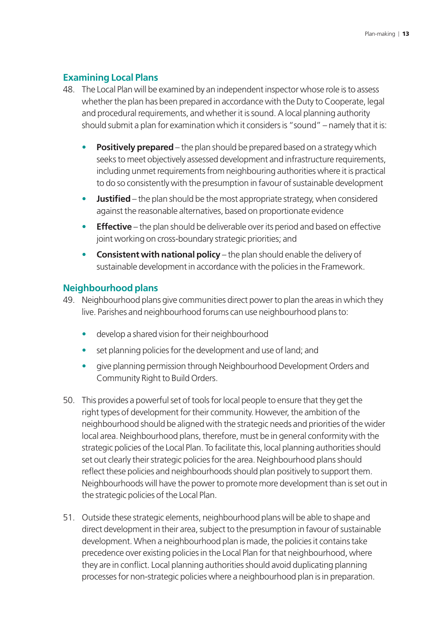#### **Examining Local Plans**

- 48. The Local Plan will be examined by an independent inspector whose role is to assess whether the plan has been prepared in accordance with the Duty to Cooperate, legal and procedural requirements, and whether it is sound. A local planning authority should submit a plan for examination which it considers is "sound" – namely that it is:
	- **Positively prepared** the plan should be prepared based on a strategy which seeks to meet objectively assessed development and infrastructure requirements, including unmet requirements from neighbouring authorities where it is practical to do so consistently with the presumption in favour of sustainable development
	- **Justified** the plan should be the most appropriate strategy, when considered against the reasonable alternatives, based on proportionate evidence
	- **Effective** the plan should be deliverable over its period and based on effective joint working on cross-boundary strategic priorities; and
	- **Consistent with national policy** the plan should enable the delivery of sustainable development in accordance with the policies in the Framework.

#### **Neighbourhood plans**

- 49. Neighbourhood plans give communities direct power to plan the areas in which they live. Parishes and neighbourhood forums can use neighbourhood plans to:
	- develop a shared vision for their neighbourhood
	- set planning policies for the development and use of land; and
	- give planning permission through Neighbourhood Development Orders and Community Right to Build Orders.
- 50. This provides a powerful set of tools for local people to ensure that they get the right types of development for their community. However, the ambition of the neighbourhood should be aligned with the strategic needs and priorities of the wider local area. Neighbourhood plans, therefore, must be in general conformity with the strategic policies of the Local Plan. To facilitate this, local planning authorities should set out clearly their strategic policies for the area. Neighbourhood plans should reflect these policies and neighbourhoods should plan positively to support them. Neighbourhoods will have the power to promote more development than is set out in the strategic policies of the Local Plan.
- 51. Outside these strategic elements, neighbourhood plans will be able to shape and direct development in their area, subject to the presumption in favour of sustainable development. When a neighbourhood plan is made, the policies it contains take precedence over existing policies in the Local Plan for that neighbourhood, where they are in conflict. Local planning authorities should avoid duplicating planning processes for non-strategic policies where a neighbourhood plan is in preparation.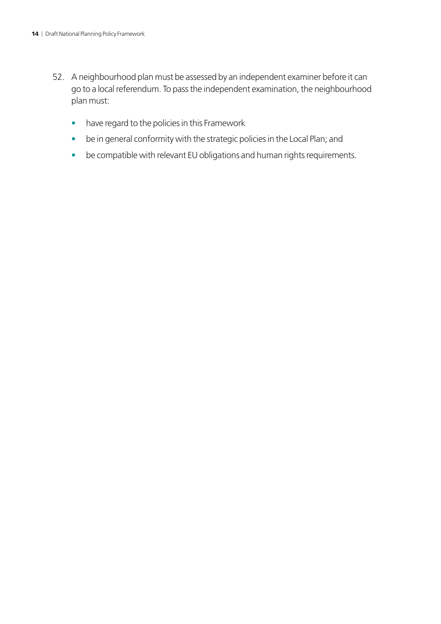- 52. A neighbourhood plan must be assessed by an independent examiner before it can go to a local referendum. To pass the independent examination, the neighbourhood plan must:
	- have regard to the policies in this Framework
	- be in general conformity with the strategic policies in the Local Plan; and
	- be compatible with relevant EU obligations and human rights requirements.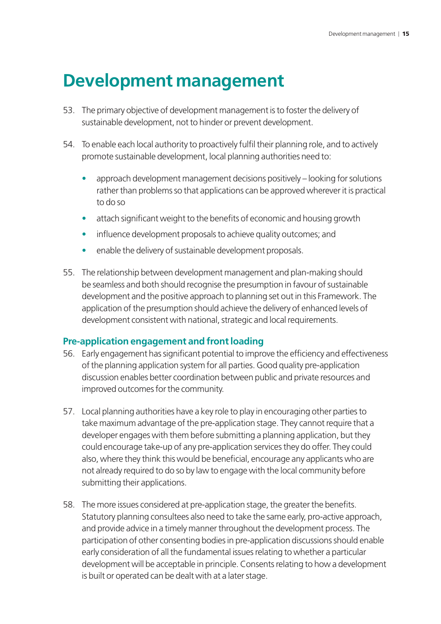# <span id="page-20-0"></span>**Development management**

- 53. The primary objective of development management is to foster the delivery of sustainable development, not to hinder or prevent development.
- 54. To enable each local authority to proactively fulfil their planning role, and to actively promote sustainable development, local planning authorities need to:
	- approach development management decisions positively looking for solutions rather than problems so that applications can be approved wherever it is practical to do so
	- attach significant weight to the benefits of economic and housing growth
	- influence development proposals to achieve quality outcomes; and
	- enable the delivery of sustainable development proposals.
- 55. The relationship between development management and plan-making should be seamless and both should recognise the presumption in favour of sustainable development and the positive approach to planning set out in this Framework. The application of the presumption should achieve the delivery of enhanced levels of development consistent with national, strategic and local requirements.

#### **Pre-application engagement and front loading**

- 56. Early engagement has significant potential to improve the efficiency and effectiveness of the planning application system for all parties. Good quality pre-application discussion enables better coordination between public and private resources and improved outcomes for the community.
- 57. Local planning authorities have a key role to play in encouraging other parties to take maximum advantage of the pre-application stage. They cannot require that a developer engages with them before submitting a planning application, but they could encourage take-up of any pre-application services they do offer. They could also, where they think this would be beneficial, encourage any applicants who are not already required to do so by law to engage with the local community before submitting their applications.
- 58. The more issues considered at pre-application stage, the greater the benefits. Statutory planning consultees also need to take the same early, pro-active approach, and provide advice in a timely manner throughout the development process. The participation of other consenting bodies in pre-application discussions should enable early consideration of all the fundamental issues relating to whether a particular development will be acceptable in principle. Consents relating to how a development is built or operated can be dealt with at a later stage.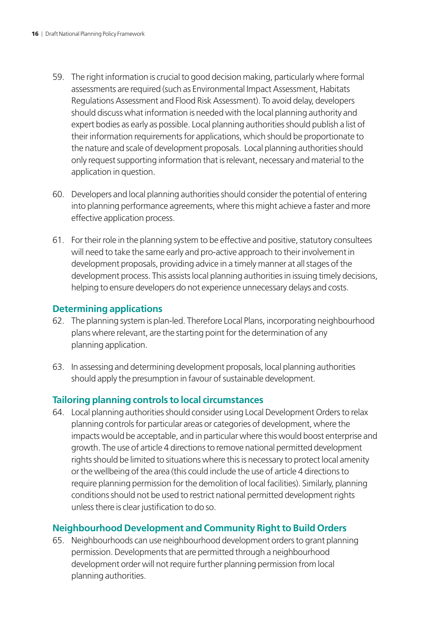- 59. The right information is crucial to good decision making, particularly where formal assessments are required (such as Environmental Impact Assessment, Habitats Regulations Assessment and Flood Risk Assessment). To avoid delay, developers should discuss what information is needed with the local planning authority and expert bodies as early as possible. Local planning authorities should publish a list of their information requirements for applications, which should be proportionate to the nature and scale of development proposals. Local planning authorities should only request supporting information that is relevant, necessary and material to the application in question.
- 60. Developers and local planning authorities should consider the potential of entering into planning performance agreements, where this might achieve a faster and more effective application process.
- 61. For their role in the planning system to be effective and positive, statutory consultees will need to take the same early and pro-active approach to their involvement in development proposals, providing advice in a timely manner at all stages of the development process. This assists local planning authorities in issuing timely decisions, helping to ensure developers do not experience unnecessary delays and costs.

#### **Determining applications**

- 62. The planning system is plan-led. Therefore Local Plans, incorporating neighbourhood plans where relevant, are the starting point for the determination of any planning application.
- 63. In assessing and determining development proposals, local planning authorities should apply the presumption in favour of sustainable development.

#### **Tailoring planning controls to local circumstances**

64. Local planning authorities should consider using Local Development Orders to relax planning controls for particular areas or categories of development, where the impacts would be acceptable, and in particular where this would boost enterprise and growth. The use of article 4 directions to remove national permitted development rights should be limited to situations where this is necessary to protect local amenity or the wellbeing of the area (this could include the use of article 4 directions to require planning permission for the demolition of local facilities). Similarly, planning conditions should not be used to restrict national permitted development rights unless there is clear justification to do so.

#### **Neighbourhood Development and Community Right to Build Orders**

65. Neighbourhoods can use neighbourhood development orders to grant planning permission. Developments that are permitted through a neighbourhood development order will not require further planning permission from local planning authorities.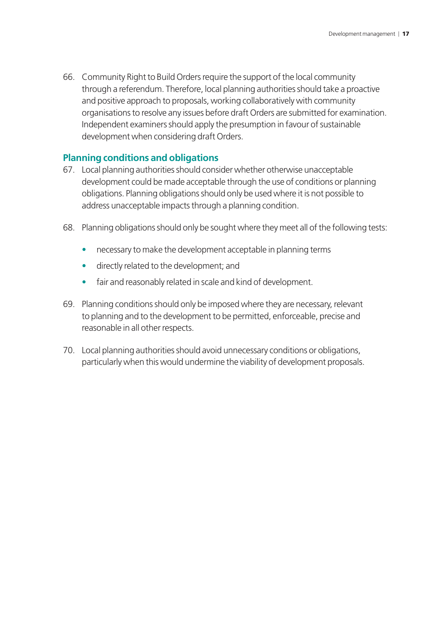66. Community Right to Build Orders require the support of the local community through a referendum. Therefore, local planning authorities should take a proactive and positive approach to proposals, working collaboratively with community organisations to resolve any issues before draft Orders are submitted for examination. Independent examiners should apply the presumption in favour of sustainable development when considering draft Orders.

#### **Planning conditions and obligations**

- 67. Local planning authorities should consider whether otherwise unacceptable development could be made acceptable through the use of conditions or planning obligations. Planning obligations should only be used where it is not possible to address unacceptable impacts through a planning condition.
- 68. Planning obligations should only be sought where they meet all of the following tests:
	- necessary to make the development acceptable in planning terms
	- directly related to the development; and
	- fair and reasonably related in scale and kind of development.
- 69. Planning conditions should only be imposed where they are necessary, relevant to planning and to the development to be permitted, enforceable, precise and reasonable in all other respects.
- 70. Local planning authorities should avoid unnecessary conditions or obligations, particularly when this would undermine the viability of development proposals.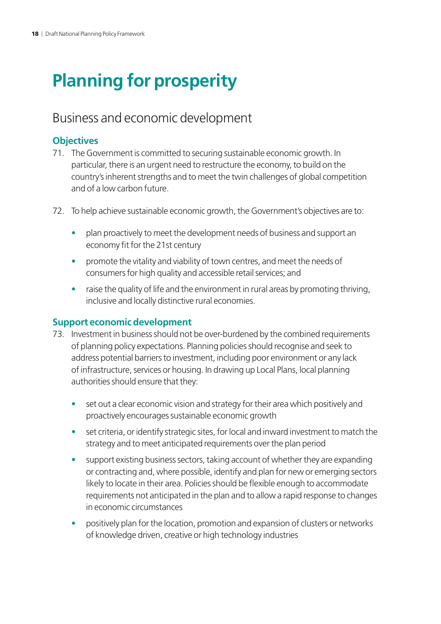# <span id="page-23-0"></span>**Planning for prosperity**

### Business and economic development

#### **Objectives**

- 71. The Government is committed to securing sustainable economic growth. In particular, there is an urgent need to restructure the economy, to build on the country's inherent strengths and to meet the twin challenges of global competition and of a low carbon future.
- 72. To help achieve sustainable economic growth, the Government's objectives are to:
	- plan proactively to meet the development needs of business and support an economy fit for the 21st century
	- promote the vitality and viability of town centres, and meet the needs of consumers for high quality and accessible retail services; and
	- raise the quality of life and the environment in rural areas by promoting thriving, inclusive and locally distinctive rural economies.

#### **Support economic development**

- 73. Investment in business should not be over-burdened by the combined requirements of planning policy expectations. Planning policies should recognise and seek to address potential barriers to investment, including poor environment or any lack of infrastructure, services or housing. In drawing up Local Plans, local planning authorities should ensure that they:
	- set out a clear economic vision and strategy for their area which positively and proactively encourages sustainable economic growth
	- set criteria, or identify strategic sites, for local and inward investment to match the strategy and to meet anticipated requirements over the plan period
	- support existing business sectors, taking account of whether they are expanding or contracting and, where possible, identify and plan for new or emerging sectors likely to locate in their area. Policies should be flexible enough to accommodate requirements not anticipated in the plan and to allow a rapid response to changes in economic circumstances
	- positively plan for the location, promotion and expansion of clusters or networks of knowledge driven, creative or high technology industries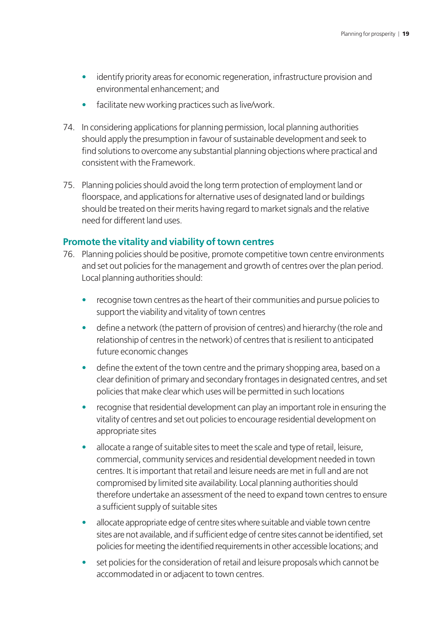- identify priority areas for economic regeneration, infrastructure provision and environmental enhancement; and
- facilitate new working practices such as live/work.
- 74. In considering applications for planning permission, local planning authorities should apply the presumption in favour of sustainable development and seek to find solutions to overcome any substantial planning objections where practical and consistent with the Framework.
- 75. Planning policies should avoid the long term protection of employment land or floorspace, and applications for alternative uses of designated land or buildings should be treated on their merits having regard to market signals and the relative need for different land uses.

#### **Promote the vitality and viability of town centres**

- 76. Planning policies should be positive, promote competitive town centre environments and set out policies for the management and growth of centres over the plan period. Local planning authorities should:
	- recognise town centres as the heart of their communities and pursue policies to support the viability and vitality of town centres
	- define a network (the pattern of provision of centres) and hierarchy (the role and relationship of centres in the network) of centres that is resilient to anticipated future economic changes
	- define the extent of the town centre and the primary shopping area, based on a clear definition of primary and secondary frontages in designated centres, and set policies that make clear which uses will be permitted in such locations
	- recognise that residential development can play an important role in ensuring the vitality of centres and set out policies to encourage residential development on appropriate sites
	- allocate a range of suitable sites to meet the scale and type of retail, leisure, commercial, community services and residential development needed in town centres. It is important that retail and leisure needs are met in full and are not compromised by limited site availability. Local planning authorities should therefore undertake an assessment of the need to expand town centres to ensure a sufficient supply of suitable sites
	- allocate appropriate edge of centre sites where suitable and viable town centre sites are not available, and if sufficient edge of centre sites cannot be identified, set policies for meeting the identified requirements in other accessible locations; and
	- set policies for the consideration of retail and leisure proposals which cannot be accommodated in or adjacent to town centres.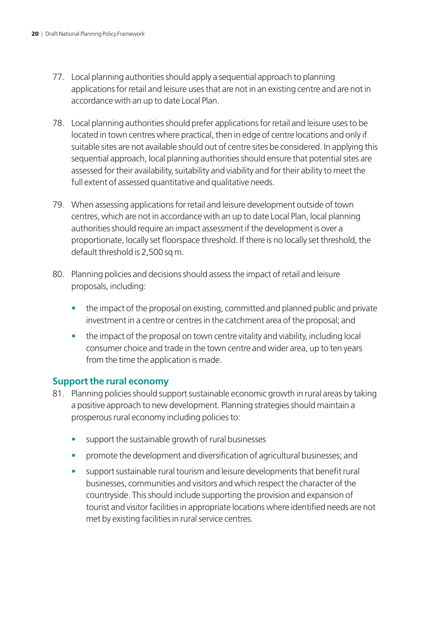- 77. Local planning authorities should apply a sequential approach to planning applications for retail and leisure uses that are not in an existing centre and are not in accordance with an up to date Local Plan.
- 78. Local planning authorities should prefer applications for retail and leisure uses to be located in town centres where practical, then in edge of centre locations and only if suitable sites are not available should out of centre sites be considered. In applying this sequential approach, local planning authorities should ensure that potential sites are assessed for their availability, suitability and viability and for their ability to meet the full extent of assessed quantitative and qualitative needs.
- 79. When assessing applications for retail and leisure development outside of town centres, which are not in accordance with an up to date Local Plan, local planning authorities should require an impact assessment if the development is over a proportionate, locally set floorspace threshold. If there is no locally set threshold, the default threshold is 2,500 sq m.
- 80. Planning policies and decisions should assess the impact of retail and leisure proposals, including:
	- the impact of the proposal on existing, committed and planned public and private investment in a centre or centres in the catchment area of the proposal; and
	- $\bullet$  the impact of the proposal on town centre vitality and viability, including local consumer choice and trade in the town centre and wider area, up to ten years from the time the application is made.

#### **Support the rural economy**

- 81. Planning policies should support sustainable economic growth in rural areas by taking a positive approach to new development. Planning strategies should maintain a prosperous rural economy including policies to:
	- support the sustainable growth of rural businesses
	- promote the development and diversification of agricultural businesses; and
	- support sustainable rural tourism and leisure developments that benefit rural businesses, communities and visitors and which respect the character of the countryside. This should include supporting the provision and expansion of tourist and visitor facilities in appropriate locations where identified needs are not met by existing facilities in rural service centres.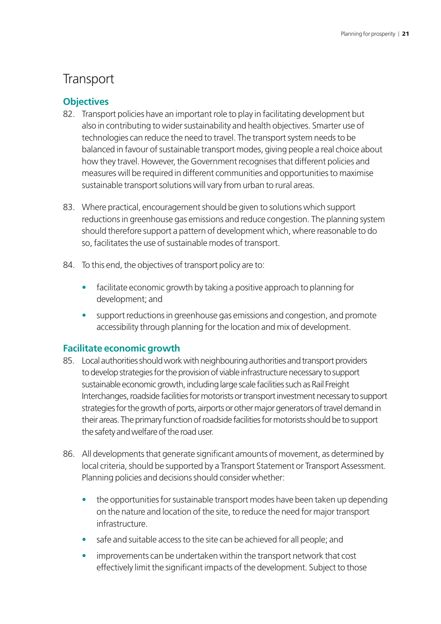### **Transport**

#### **Objectives**

- 82. Transport policies have an important role to play in facilitating development but also in contributing to wider sustainability and health objectives. Smarter use of technologies can reduce the need to travel. The transport system needs to be balanced in favour of sustainable transport modes, giving people a real choice about how they travel. However, the Government recognises that different policies and measures will be required in different communities and opportunities to maximise sustainable transport solutions will vary from urban to rural areas.
- 83. Where practical, encouragement should be given to solutions which support reductions in greenhouse gas emissions and reduce congestion. The planning system should therefore support a pattern of development which, where reasonable to do so, facilitates the use of sustainable modes of transport.
- 84. To this end, the objectives of transport policy are to:
	- facilitate economic growth by taking a positive approach to planning for development; and
	- support reductions in greenhouse gas emissions and congestion, and promote accessibility through planning for the location and mix of development.

#### **Facilitate economic growth**

- 85. Local authorities should work with neighbouring authorities and transport providers to develop strategies for the provision of viable infrastructure necessary to support sustainable economic growth, including large scale facilities such as Rail Freight Interchanges, roadside facilities for motorists or transport investment necessary to support strategies for the growth of ports, airports or other major generators of travel demand in their areas. The primary function of roadside facilities for motorists should be to support the safety and welfare of the road user.
- 86. All developments that generate significant amounts of movement, as determined by local criteria, should be supported by a Transport Statement or Transport Assessment. Planning policies and decisions should consider whether:
	- the opportunities for sustainable transport modes have been taken up depending on the nature and location of the site, to reduce the need for major transport infrastructure.
	- safe and suitable access to the site can be achieved for all people; and
	- improvements can be undertaken within the transport network that cost effectively limit the significant impacts of the development. Subject to those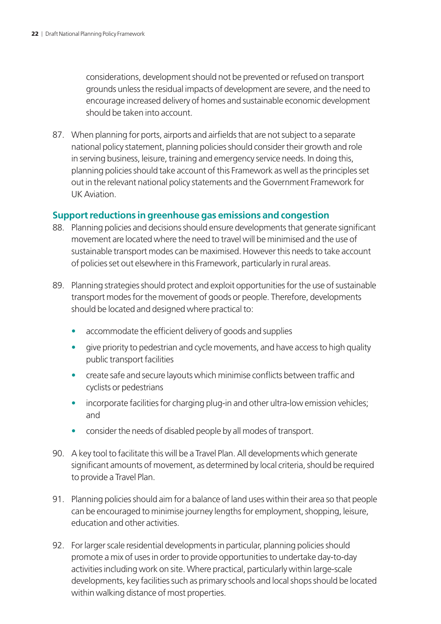considerations, development should not be prevented or refused on transport grounds unless the residual impacts of development are severe, and the need to encourage increased delivery of homes and sustainable economic development should be taken into account.

87. When planning for ports, airports and airfields that are not subject to a separate national policy statement, planning policies should consider their growth and role in serving business, leisure, training and emergency service needs. In doing this, planning policies should take account of this Framework as well as the principles set out in the relevant national policy statements and the Government Framework for UK Aviation.

#### **Support reductions in greenhouse gas emissions and congestion**

- 88. Planning policies and decisions should ensure developments that generate significant movement are located where the need to travel will be minimised and the use of sustainable transport modes can be maximised. However this needs to take account of policies set out elsewhere in this Framework, particularly in rural areas.
- 89. Planning strategies should protect and exploit opportunities for the use of sustainable transport modes for the movement of goods or people. Therefore, developments should be located and designed where practical to:
	- accommodate the efficient delivery of goods and supplies
	- give priority to pedestrian and cycle movements, and have access to high quality public transport facilities
	- create safe and secure layouts which minimise conflicts between traffic and cyclists or pedestrians
	- incorporate facilities for charging plug-in and other ultra-low emission vehicles: and
	- consider the needs of disabled people by all modes of transport.
- 90. A key tool to facilitate this will be a Travel Plan. All developments which generate significant amounts of movement, as determined by local criteria, should be required to provide a Travel Plan.
- 91. Planning policies should aim for a balance of land uses within their area so that people can be encouraged to minimise journey lengths for employment, shopping, leisure, education and other activities.
- 92. For larger scale residential developments in particular, planning policies should promote a mix of uses in order to provide opportunities to undertake day-to-day activities including work on site. Where practical, particularly within large-scale developments, key facilities such as primary schools and local shops should be located within walking distance of most properties.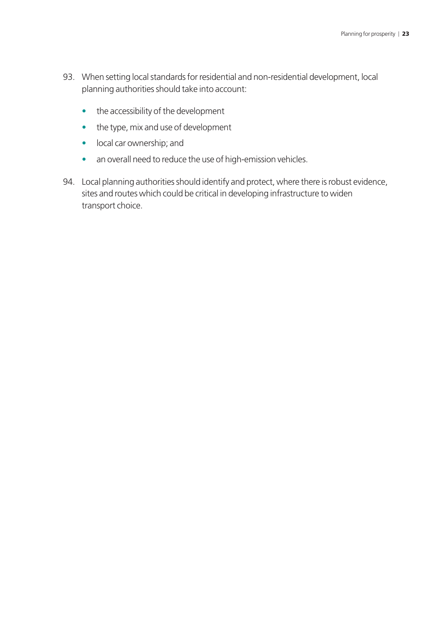- 93. When setting local standards for residential and non-residential development, local planning authorities should take into account:
	- the accessibility of the development
	- the type, mix and use of development
	- local car ownership; and
	- an overall need to reduce the use of high-emission vehicles.
- 94. Local planning authorities should identify and protect, where there is robust evidence, sites and routes which could be critical in developing infrastructure to widen transport choice.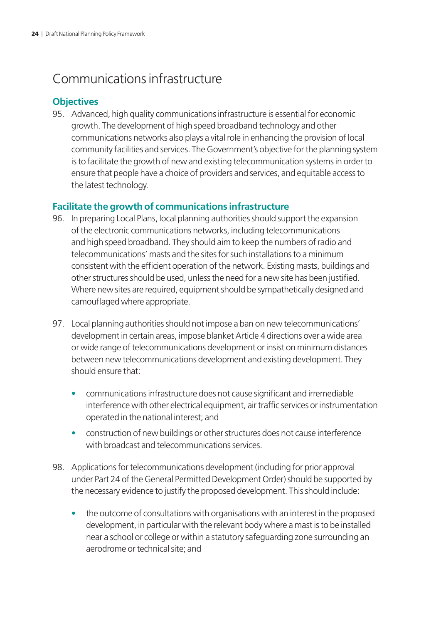## <span id="page-29-0"></span>Communications infrastructure

#### **Objectives**

95. Advanced, high quality communications infrastructure is essential for economic growth. The development of high speed broadband technology and other communications networks also plays a vital role in enhancing the provision of local community facilities and services. The Government's objective for the planning system is to facilitate the growth of new and existing telecommunication systems in order to ensure that people have a choice of providers and services, and equitable access to the latest technology.

#### **Facilitate the growth of communications infrastructure**

- 96. In preparing Local Plans, local planning authorities should support the expansion of the electronic communications networks, including telecommunications and high speed broadband. They should aim to keep the numbers of radio and telecommunications' masts and the sites for such installations to a minimum consistent with the efficient operation of the network. Existing masts, buildings and other structures should be used, unless the need for a new site has been justified. Where new sites are required, equipment should be sympathetically designed and camouflaged where appropriate.
- 97. Local planning authorities should not impose a ban on new telecommunications' development in certain areas, impose blanket Article 4 directions over a wide area or wide range of telecommunications development or insist on minimum distances between new telecommunications development and existing development. They should ensure that:
	- communications infrastructure does not cause significant and irremediable interference with other electrical equipment, air traffic services or instrumentation operated in the national interest; and
	- construction of new buildings or other structures does not cause interference with broadcast and telecommunications services.
- 98. Applications for telecommunications development (including for prior approval under Part 24 of the General Permitted Development Order) should be supported by the necessary evidence to justify the proposed development. This should include:
	- the outcome of consultations with organisations with an interest in the proposed development, in particular with the relevant body where a mast is to be installed near a school or college or within a statutory safeguarding zone surrounding an aerodrome or technical site; and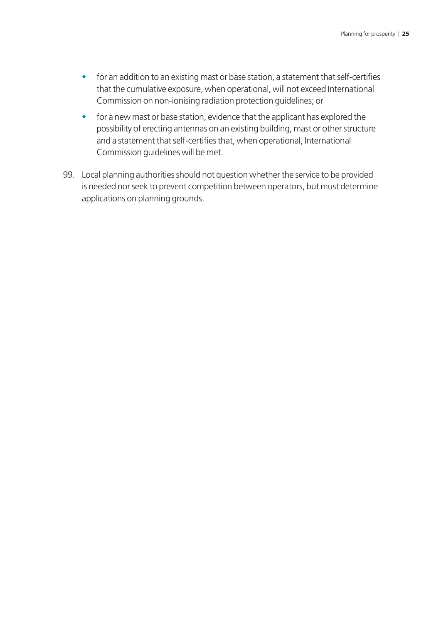- for an addition to an existing mast or base station, a statement that self-certifies that the cumulative exposure, when operational, will not exceed International Commission on non-ionising radiation protection guidelines; or
- for a new mast or base station, evidence that the applicant has explored the possibility of erecting antennas on an existing building, mast or other structure and a statement that self-certifies that, when operational, International Commission guidelines will be met.
- 99. Local planning authorities should not question whether the service to be provided is needed nor seek to prevent competition between operators, but must determine applications on planning grounds.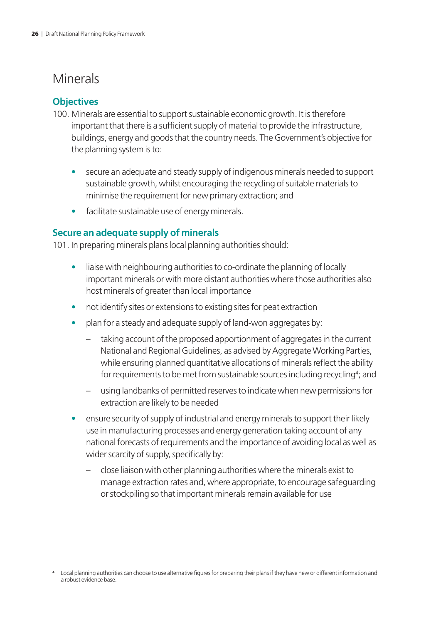## <span id="page-31-0"></span>**Minerals**

#### **Objectives**

- 100. Minerals are essential to support sustainable economic growth. It is therefore important that there is a sufficient supply of material to provide the infrastructure, buildings, energy and goods that the country needs. The Government's objective for the planning system is to:
	- secure an adequate and steady supply of indigenous minerals needed to support sustainable growth, whilst encouraging the recycling of suitable materials to minimise the requirement for new primary extraction; and
	- facilitate sustainable use of energy minerals.

#### **Secure an adequate supply of minerals**

101. In preparing minerals plans local planning authorities should:

- liaise with neighbouring authorities to co-ordinate the planning of locally important minerals or with more distant authorities where those authorities also host minerals of greater than local importance
- not identify sites or extensions to existing sites for peat extraction
- plan for a steady and adequate supply of land-won aggregates by:
	- taking account of the proposed apportionment of aggregates in the current National and Regional Guidelines, as advised by Aggregate Working Parties, while ensuring planned quantitative allocations of minerals reflect the ability for requirements to be met from sustainable sources including recycling<sup>4</sup>; and
	- using landbanks of permitted reserves to indicate when new permissions for extraction are likely to be needed
- ensure security of supply of industrial and energy minerals to support their likely use in manufacturing processes and energy generation taking account of any national forecasts of requirements and the importance of avoiding local as well as wider scarcity of supply, specifically by:
	- close liaison with other planning authorities where the minerals exist to manage extraction rates and, where appropriate, to encourage safeguarding or stockpiling so that important minerals remain available for use

**<sup>4</sup>** Local planning authorities can choose to use alternative figures for preparing their plans if they have new or different information and a robust evidence base.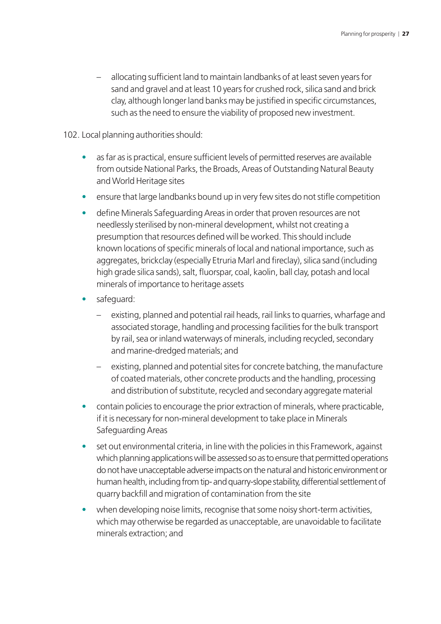– allocating sufficient land to maintain landbanks of at least seven years for sand and gravel and at least 10 years for crushed rock, silica sand and brick clay, although longer land banks may be justified in specific circumstances, such as the need to ensure the viability of proposed new investment.

102. Local planning authorities should:

- as far as is practical, ensure sufficient levels of permitted reserves are available from outside National Parks, the Broads, Areas of Outstanding Natural Beauty and World Heritage sites
- ensure that large landbanks bound up in very few sites do not stifle competition
- define Minerals Safeguarding Areas in order that proven resources are not needlessly sterilised by non-mineral development, whilst not creating a presumption that resources defined will be worked. This should include known locations of specific minerals of local and national importance, such as aggregates, brickclay (especially Etruria Marl and fireclay), silica sand (including high grade silica sands), salt, fluorspar, coal, kaolin, ball clay, potash and local minerals of importance to heritage assets
- safeguard:
	- existing, planned and potential rail heads, rail links to quarries, wharfage and associated storage, handling and processing facilities for the bulk transport by rail, sea or inland waterways of minerals, including recycled, secondary and marine-dredged materials; and
	- existing, planned and potential sites for concrete batching, the manufacture of coated materials, other concrete products and the handling, processing and distribution of substitute, recycled and secondary aggregate material
- contain policies to encourage the prior extraction of minerals, where practicable, if it is necessary for non-mineral development to take place in Minerals Safeguarding Areas
- set out environmental criteria, in line with the policies in this Framework, against which planning applications will be assessed so as to ensure that permitted operations do not have unacceptable adverse impacts on the natural and historic environment or human health, including from tip- and quarry-slope stability, differential settlement of quarry backfill and migration of contamination from the site
- when developing noise limits, recognise that some noisy short-term activities, which may otherwise be regarded as unacceptable, are unavoidable to facilitate minerals extraction; and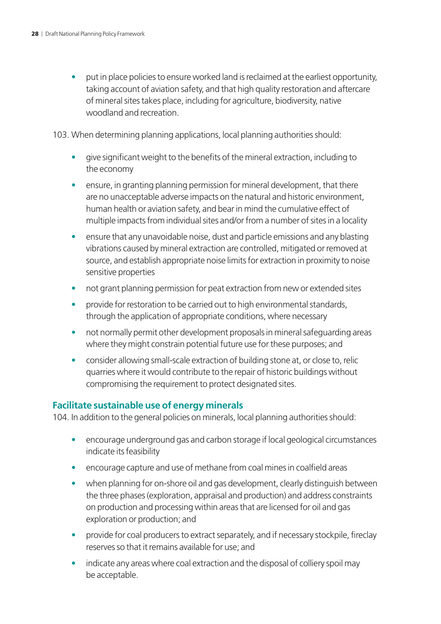• put in place policies to ensure worked land is reclaimed at the earliest opportunity, taking account of aviation safety, and that high quality restoration and aftercare of mineral sites takes place, including for agriculture, biodiversity, native woodland and recreation.

103. When determining planning applications, local planning authorities should:

- give significant weight to the benefits of the mineral extraction, including to the economy
- ensure, in granting planning permission for mineral development, that there are no unacceptable adverse impacts on the natural and historic environment, human health or aviation safety, and bear in mind the cumulative effect of multiple impacts from individual sites and/or from a number of sites in a locality
- ensure that any unavoidable noise, dust and particle emissions and any blasting vibrations caused by mineral extraction are controlled, mitigated or removed at source, and establish appropriate noise limits for extraction in proximity to noise sensitive properties
- not grant planning permission for peat extraction from new or extended sites
- provide for restoration to be carried out to high environmental standards, through the application of appropriate conditions, where necessary
- not normally permit other development proposals in mineral safeguarding areas where they might constrain potential future use for these purposes; and
- consider allowing small-scale extraction of building stone at, or close to, relic quarries where it would contribute to the repair of historic buildings without compromising the requirement to protect designated sites.

#### **Facilitate sustainable use of energy minerals**

104. In addition to the general policies on minerals, local planning authorities should:

- encourage underground gas and carbon storage if local geological circumstances indicate its feasibility
- encourage capture and use of methane from coal mines in coalfield areas
- when planning for on-shore oil and gas development, clearly distinguish between the three phases (exploration, appraisal and production) and address constraints on production and processing within areas that are licensed for oil and gas exploration or production; and
- provide for coal producers to extract separately, and if necessary stockpile, fireclay reserves so that it remains available for use; and
- indicate any areas where coal extraction and the disposal of colliery spoil may be acceptable.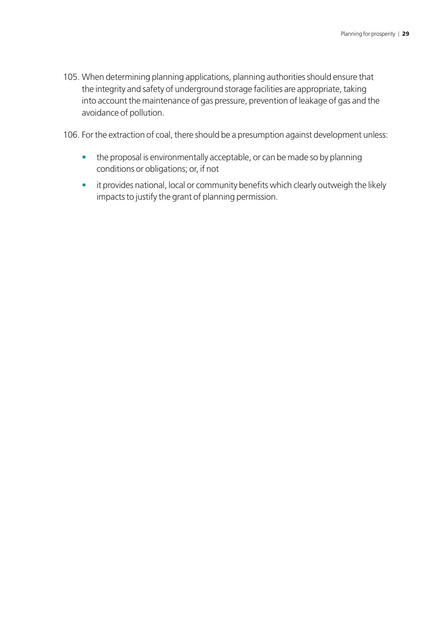105. When determining planning applications, planning authorities should ensure that the integrity and safety of underground storage facilities are appropriate, taking into account the maintenance of gas pressure, prevention of leakage of gas and the avoidance of pollution.

106. For the extraction of coal, there should be a presumption against development unless:

- the proposal is environmentally acceptable, or can be made so by planning conditions or obligations; or, if not
- it provides national, local or community benefits which clearly outweigh the likely impacts to justify the grant of planning permission.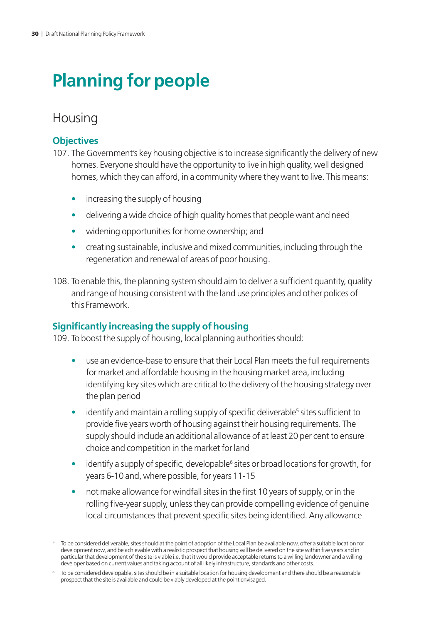# <span id="page-35-0"></span>**Planning for people**

## **Housing**

#### **Objectives**

- 107. The Government's key housing objective is to increase significantly the delivery of new homes. Everyone should have the opportunity to live in high quality, well designed homes, which they can afford, in a community where they want to live. This means:
	- increasing the supply of housing
	- delivering a wide choice of high quality homes that people want and need
	- widening opportunities for home ownership; and
	- creating sustainable, inclusive and mixed communities, including through the regeneration and renewal of areas of poor housing.
- 108. To enable this, the planning system should aim to deliver a sufficient quantity, quality and range of housing consistent with the land use principles and other polices of this Framework.

#### **Significantly increasing the supply of housing**

109. To boost the supply of housing, local planning authorities should:

- use an evidence-base to ensure that their Local Plan meets the full requirements for market and affordable housing in the housing market area, including identifying key sites which are critical to the delivery of the housing strategy over the plan period
- identify and maintain a rolling supply of specific deliverable<sup>5</sup> sites sufficient to provide five years worth of housing against their housing requirements. The supply should include an additional allowance of at least 20 per cent to ensure choice and competition in the market for land
- $\bullet$  identify a supply of specific, developable<sup>6</sup> sites or broad locations for growth, for years 6-10 and, where possible, for years 11-15
- not make allowance for windfall sites in the first 10 years of supply, or in the rolling five-year supply, unless they can provide compelling evidence of genuine local circumstances that prevent specific sites being identified. Any allowance

**<sup>5</sup>** To be considered deliverable, sites should at the point of adoption of the Local Plan be available now, offer a suitable location for development now, and be achievable with a realistic prospect that housing will be delivered on the site within five years and in particular that development of the site is viable i.e. that it would provide acceptable returns to a willing landowner and a willing developer based on current values and taking account of all likely infrastructure, standards and other costs.

**<sup>6</sup>** To be considered developable, sites should be in a suitable location for housing development and there should be a reasonable prospect that the site is available and could be viably developed at the point envisaged.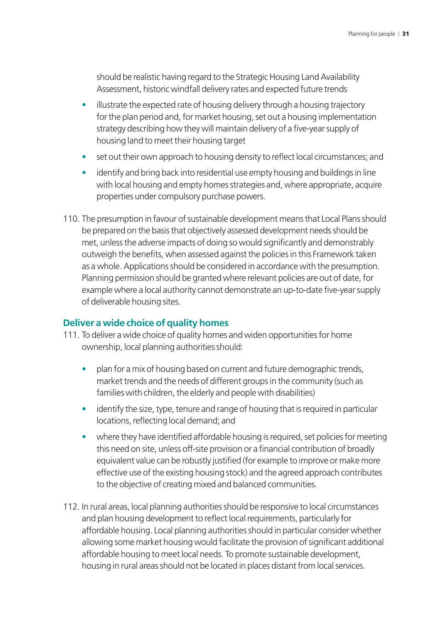should be realistic having regard to the Strategic Housing Land Availability Assessment, historic windfall delivery rates and expected future trends

- illustrate the expected rate of housing delivery through a housing trajectory for the plan period and, for market housing, set out a housing implementation strategy describing how they will maintain delivery of a five-year supply of housing land to meet their housing target
- set out their own approach to housing density to reflect local circumstances; and
- identify and bring back into residential use empty housing and buildings in line with local housing and empty homes strategies and, where appropriate, acquire properties under compulsory purchase powers.
- 110. The presumption in favour of sustainable development means that Local Plans should be prepared on the basis that objectively assessed development needs should be met, unless the adverse impacts of doing so would significantly and demonstrably outweigh the benefits, when assessed against the policies in this Framework taken as a whole. Applications should be considered in accordance with the presumption. Planning permission should be granted where relevant policies are out of date, for example where a local authority cannot demonstrate an up-to-date five-year supply of deliverable housing sites.

#### **Deliver a wide choice of quality homes**

- 111. To deliver a wide choice of quality homes and widen opportunities for home ownership, local planning authorities should:
	- plan for a mix of housing based on current and future demographic trends, market trends and the needs of different groups in the community (such as families with children, the elderly and people with disabilities)
	- identify the size, type, tenure and range of housing that is required in particular locations, reflecting local demand; and
	- where they have identified affordable housing is required, set policies for meeting this need on site, unless off-site provision or a financial contribution of broadly equivalent value can be robustly justified (for example to improve or make more effective use of the existing housing stock) and the agreed approach contributes to the objective of creating mixed and balanced communities.
- 112. In rural areas, local planning authorities should be responsive to local circumstances and plan housing development to reflect local requirements, particularly for affordable housing. Local planning authorities should in particular consider whether allowing some market housing would facilitate the provision of significant additional affordable housing to meet local needs. To promote sustainable development, housing in rural areas should not be located in places distant from local services.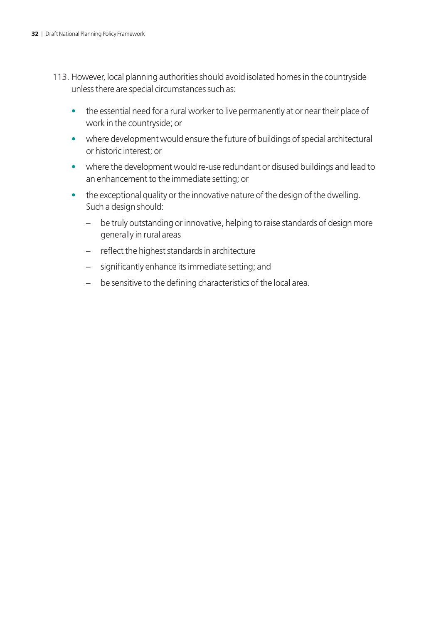- 113. However, local planning authorities should avoid isolated homes in the countryside unless there are special circumstances such as:
	- the essential need for a rural worker to live permanently at or near their place of work in the countryside; or
	- where development would ensure the future of buildings of special architectural or historic interest; or
	- where the development would re-use redundant or disused buildings and lead to an enhancement to the immediate setting; or
	- the exceptional quality or the innovative nature of the design of the dwelling. Such a design should:
		- be truly outstanding or innovative, helping to raise standards of design more generally in rural areas
		- reflect the highest standards in architecture
		- significantly enhance its immediate setting; and
		- be sensitive to the defining characteristics of the local area.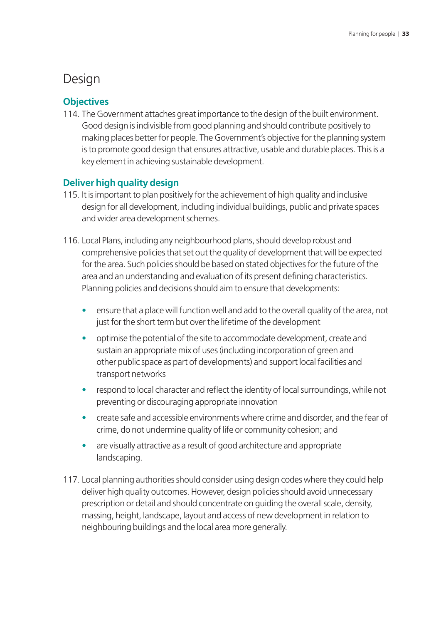## <span id="page-38-0"></span>Design

#### **Objectives**

114. The Government attaches great importance to the design of the built environment. Good design is indivisible from good planning and should contribute positively to making places better for people. The Government's objective for the planning system is to promote good design that ensures attractive, usable and durable places. This is a key element in achieving sustainable development.

#### **Deliver high quality design**

- 115. It is important to plan positively for the achievement of high quality and inclusive design for all development, including individual buildings, public and private spaces and wider area development schemes.
- 116. Local Plans, including any neighbourhood plans, should develop robust and comprehensive policies that set out the quality of development that will be expected for the area. Such policies should be based on stated objectives for the future of the area and an understanding and evaluation of its present defining characteristics. Planning policies and decisions should aim to ensure that developments:
	- ensure that a place will function well and add to the overall quality of the area, not just for the short term but over the lifetime of the development
	- optimise the potential of the site to accommodate development, create and sustain an appropriate mix of uses (including incorporation of green and other public space as part of developments) and support local facilities and transport networks
	- respond to local character and reflect the identity of local surroundings, while not preventing or discouraging appropriate innovation
	- create safe and accessible environments where crime and disorder, and the fear of crime, do not undermine quality of life or community cohesion; and
	- are visually attractive as a result of good architecture and appropriate landscaping.
- 117. Local planning authorities should consider using design codes where they could help deliver high quality outcomes. However, design policies should avoid unnecessary prescription or detail and should concentrate on guiding the overall scale, density, massing, height, landscape, layout and access of new development in relation to neighbouring buildings and the local area more generally.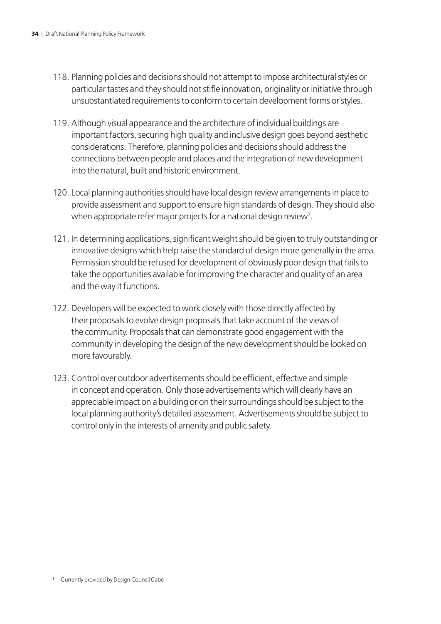- 118. Planning policies and decisions should not attempt to impose architectural styles or particular tastes and they should not stifle innovation, originality or initiative through unsubstantiated requirements to conform to certain development forms or styles.
- 119. Although visual appearance and the architecture of individual buildings are important factors, securing high quality and inclusive design goes beyond aesthetic considerations. Therefore, planning policies and decisions should address the connections between people and places and the integration of new development into the natural, built and historic environment.
- 120. Local planning authorities should have local design review arrangements in place to provide assessment and support to ensure high standards of design. They should also when appropriate refer major projects for a national design review<sup>7</sup>.
- 121. In determining applications, significant weight should be given to truly outstanding or innovative designs which help raise the standard of design more generally in the area. Permission should be refused for development of obviously poor design that fails to take the opportunities available for improving the character and quality of an area and the way it functions.
- 122. Developers will be expected to work closely with those directly affected by their proposals to evolve design proposals that take account of the views of the community. Proposals that can demonstrate good engagement with the community in developing the design of the new development should be looked on more favourably.
- 123. Control over outdoor advertisements should be efficient, effective and simple in concept and operation. Only those advertisements which will clearly have an appreciable impact on a building or on their surroundings should be subject to the local planning authority's detailed assessment. Advertisements should be subject to control only in the interests of amenity and public safety.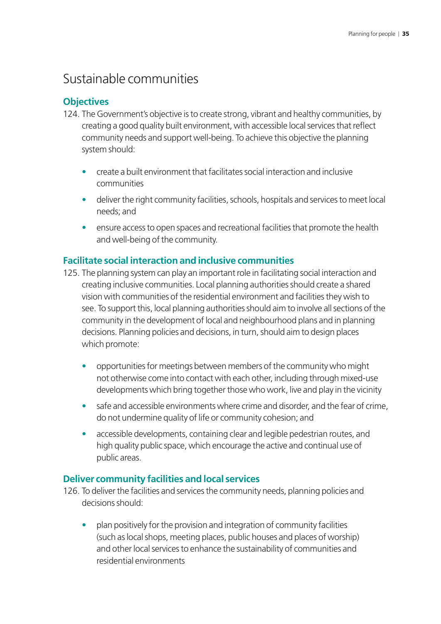### <span id="page-40-0"></span>Sustainable communities

#### **Objectives**

- 124. The Government's objective is to create strong, vibrant and healthy communities, by creating a good quality built environment, with accessible local services that reflect community needs and support well-being. To achieve this objective the planning system should:
	- create a built environment that facilitates social interaction and inclusive communities
	- deliver the right community facilities, schools, hospitals and services to meet local needs; and
	- ensure access to open spaces and recreational facilities that promote the health and well-being of the community.

#### **Facilitate social interaction and inclusive communities**

- 125. The planning system can play an important role in facilitating social interaction and creating inclusive communities. Local planning authorities should create a shared vision with communities of the residential environment and facilities they wish to see. To support this, local planning authorities should aim to involve all sections of the community in the development of local and neighbourhood plans and in planning decisions. Planning policies and decisions, in turn, should aim to design places which promote:
	- opportunities for meetings between members of the community who might not otherwise come into contact with each other, including through mixed-use developments which bring together those who work, live and play in the vicinity
	- safe and accessible environments where crime and disorder, and the fear of crime, do not undermine quality of life or community cohesion; and
	- accessible developments, containing clear and legible pedestrian routes, and high quality public space, which encourage the active and continual use of public areas.

#### **Deliver community facilities and local services**

- 126. To deliver the facilities and services the community needs, planning policies and decisions should:
	- plan positively for the provision and integration of community facilities (such as local shops, meeting places, public houses and places of worship) and other local services to enhance the sustainability of communities and residential environments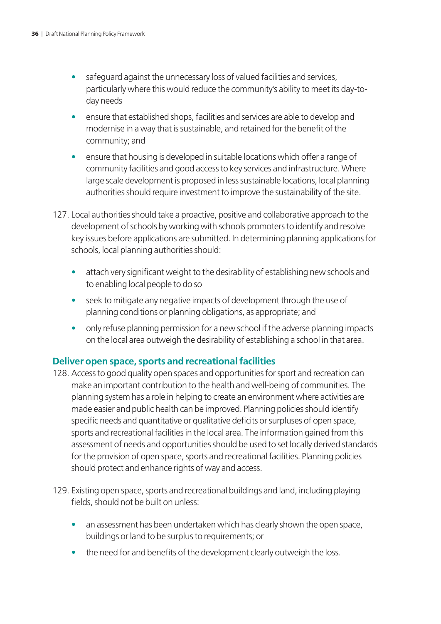- safeguard against the unnecessary loss of valued facilities and services, particularly where this would reduce the community's ability to meet its day-today needs
- ensure that established shops, facilities and services are able to develop and modernise in a way that is sustainable, and retained for the benefit of the community; and
- ensure that housing is developed in suitable locations which offer a range of community facilities and good access to key services and infrastructure. Where large scale development is proposed in less sustainable locations, local planning authorities should require investment to improve the sustainability of the site.
- 127. Local authorities should take a proactive, positive and collaborative approach to the development of schools by working with schools promoters to identify and resolve key issues before applications are submitted. In determining planning applications for schools, local planning authorities should:
	- attach very significant weight to the desirability of establishing new schools and to enabling local people to do so
	- seek to mitigate any negative impacts of development through the use of planning conditions or planning obligations, as appropriate; and
	- only refuse planning permission for a new school if the adverse planning impacts on the local area outweigh the desirability of establishing a school in that area.

#### **Deliver open space, sports and recreational facilities**

- 128. Access to good quality open spaces and opportunities for sport and recreation can make an important contribution to the health and well-being of communities. The planning system has a role in helping to create an environment where activities are made easier and public health can be improved. Planning policies should identify specific needs and quantitative or qualitative deficits or surpluses of open space, sports and recreational facilities in the local area. The information gained from this assessment of needs and opportunities should be used to set locally derived standards for the provision of open space, sports and recreational facilities. Planning policies should protect and enhance rights of way and access.
- 129. Existing open space, sports and recreational buildings and land, including playing fields, should not be built on unless:
	- an assessment has been undertaken which has clearly shown the open space, buildings or land to be surplus to requirements; or
	- the need for and benefits of the development clearly outweigh the loss.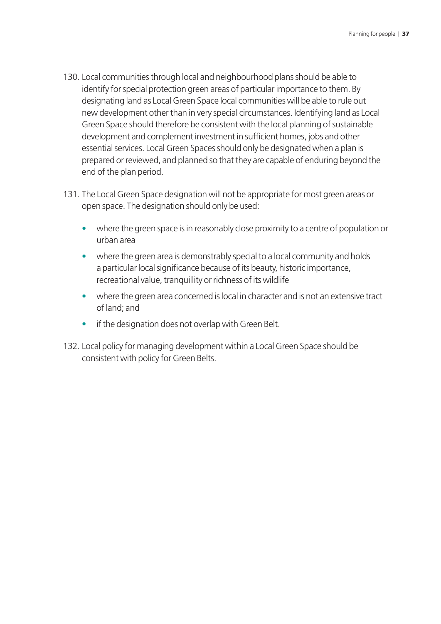- 130. Local communities through local and neighbourhood plans should be able to identify for special protection green areas of particular importance to them. By designating land as Local Green Space local communities will be able to rule out new development other than in very special circumstances. Identifying land as Local Green Space should therefore be consistent with the local planning of sustainable development and complement investment in sufficient homes, jobs and other essential services. Local Green Spaces should only be designated when a plan is prepared or reviewed, and planned so that they are capable of enduring beyond the end of the plan period.
- 131. The Local Green Space designation will not be appropriate for most green areas or open space. The designation should only be used:
	- where the green space is in reasonably close proximity to a centre of population or urban area
	- where the green area is demonstrably special to a local community and holds a particular local significance because of its beauty, historic importance, recreational value, tranquillity or richness of its wildlife
	- where the green area concerned is local in character and is not an extensive tract of land; and
	- if the designation does not overlap with Green Belt.
- 132. Local policy for managing development within a Local Green Space should be consistent with policy for Green Belts.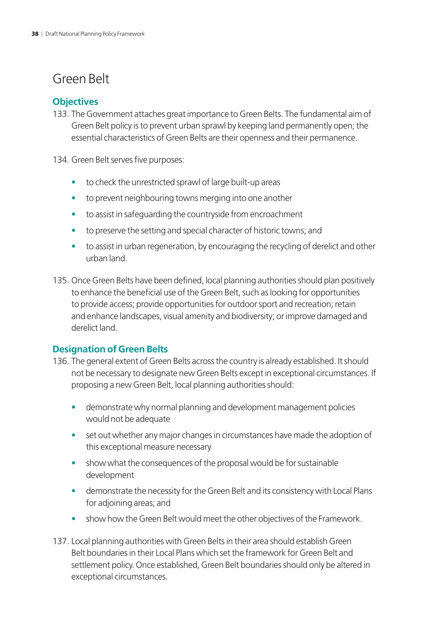## <span id="page-43-0"></span>Green Belt

#### **Objectives**

133. The Government attaches great importance to Green Belts. The fundamental aim of Green Belt policy is to prevent urban sprawl by keeping land permanently open; the essential characteristics of Green Belts are their openness and their permanence.

134. Green Belt serves five purposes:

- to check the unrestricted sprawl of large built-up areas
- to prevent neighbouring towns merging into one another
- to assist in safeguarding the countryside from encroachment
- to preserve the setting and special character of historic towns; and
- to assist in urban regeneration, by encouraging the recycling of derelict and other urban land.
- 135. Once Green Belts have been defined, local planning authorities should plan positively to enhance the beneficial use of the Green Belt, such as looking for opportunities to provide access; provide opportunities for outdoor sport and recreation; retain and enhance landscapes, visual amenity and biodiversity; or improve damaged and derelict land.

#### **Designation of Green Belts**

- 136. The general extent of Green Belts across the country is already established. It should not be necessary to designate new Green Belts except in exceptional circumstances. If proposing a new Green Belt, local planning authorities should:
	- demonstrate why normal planning and development management policies would not be adequate
	- set out whether any major changes in circumstances have made the adoption of this exceptional measure necessary
	- show what the consequences of the proposal would be for sustainable development
	- demonstrate the necessity for the Green Belt and its consistency with Local Plans for adjoining areas; and
	- show how the Green Belt would meet the other objectives of the Framework.
- 137. Local planning authorities with Green Belts in their area should establish Green Belt boundaries in their Local Plans which set the framework for Green Belt and settlement policy. Once established, Green Belt boundaries should only be altered in exceptional circumstances.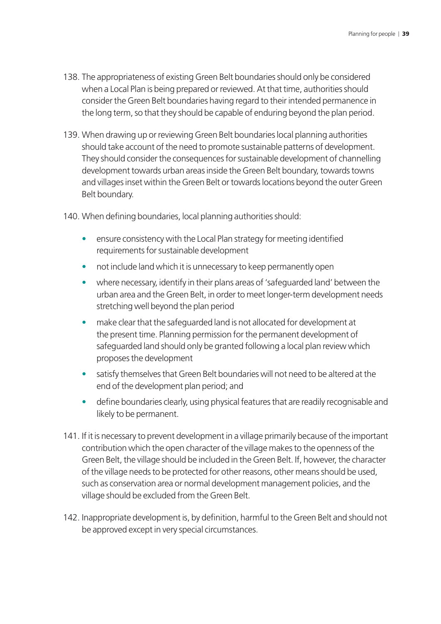- 138. The appropriateness of existing Green Belt boundaries should only be considered when a Local Plan is being prepared or reviewed. At that time, authorities should consider the Green Belt boundaries having regard to their intended permanence in the long term, so that they should be capable of enduring beyond the plan period.
- 139. When drawing up or reviewing Green Belt boundaries local planning authorities should take account of the need to promote sustainable patterns of development. They should consider the consequences for sustainable development of channelling development towards urban areas inside the Green Belt boundary, towards towns and villages inset within the Green Belt or towards locations beyond the outer Green Belt boundary.

140. When defining boundaries, local planning authorities should:

- ensure consistency with the Local Plan strategy for meeting identified requirements for sustainable development
- not include land which it is unnecessary to keep permanently open
- where necessary, identify in their plans areas of 'safeguarded land' between the urban area and the Green Belt, in order to meet longer-term development needs stretching well beyond the plan period
- make clear that the safeguarded land is not allocated for development at the present time. Planning permission for the permanent development of safeguarded land should only be granted following a local plan review which proposes the development
- satisfy themselves that Green Belt boundaries will not need to be altered at the end of the development plan period; and
- define boundaries clearly, using physical features that are readily recognisable and likely to be permanent.
- 141. If it is necessary to prevent development in a village primarily because of the important contribution which the open character of the village makes to the openness of the Green Belt, the village should be included in the Green Belt. If, however, the character of the village needs to be protected for other reasons, other means should be used, such as conservation area or normal development management policies, and the village should be excluded from the Green Belt.
- 142. Inappropriate development is, by definition, harmful to the Green Belt and should not be approved except in very special circumstances.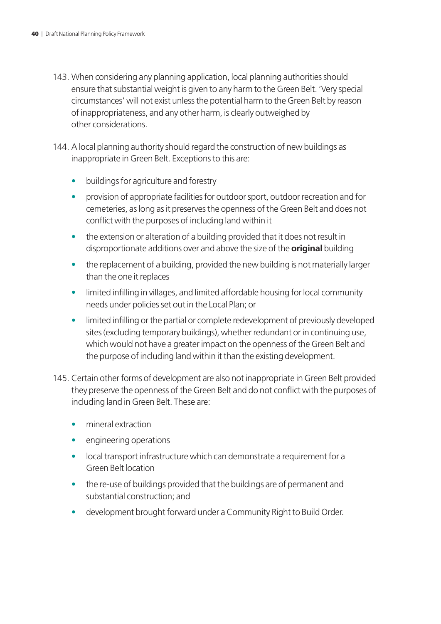- 143. When considering any planning application, local planning authorities should ensure that substantial weight is given to any harm to the Green Belt. 'Very special circumstances' will not exist unless the potential harm to the Green Belt by reason of inappropriateness, and any other harm, is clearly outweighed by other considerations.
- 144. A local planning authority should regard the construction of new buildings as inappropriate in Green Belt. Exceptions to this are:
	- buildings for agriculture and forestry
	- provision of appropriate facilities for outdoor sport, outdoor recreation and for cemeteries, as long as it preserves the openness of the Green Belt and does not conflict with the purposes of including land within it
	- the extension or alteration of a building provided that it does not result in disproportionate additions over and above the size of the **original** building
	- the replacement of a building, provided the new building is not materially larger than the one it replaces
	- limited infilling in villages, and limited affordable housing for local community needs under policies set out in the Local Plan; or
	- limited infilling or the partial or complete redevelopment of previously developed sites (excluding temporary buildings), whether redundant or in continuing use, which would not have a greater impact on the openness of the Green Belt and the purpose of including land within it than the existing development.
- 145. Certain other forms of development are also not inappropriate in Green Belt provided they preserve the openness of the Green Belt and do not conflict with the purposes of including land in Green Belt. These are:
	- mineral extraction
	- engineering operations
	- local transport infrastructure which can demonstrate a requirement for a Green Belt location
	- the re-use of buildings provided that the buildings are of permanent and substantial construction; and
	- development brought forward under a Community Right to Build Order.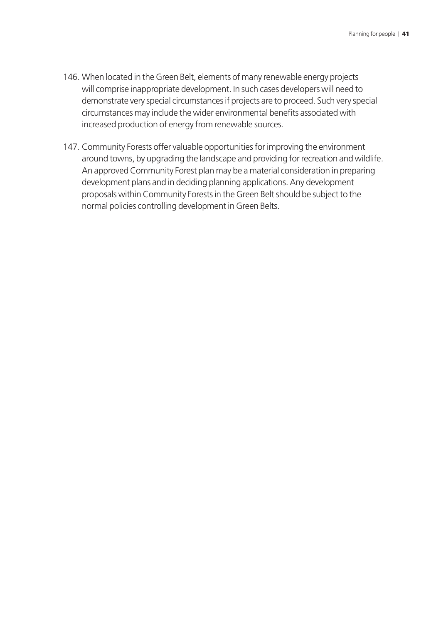- 146. When located in the Green Belt, elements of many renewable energy projects will comprise inappropriate development. In such cases developers will need to demonstrate very special circumstances if projects are to proceed. Such very special circumstances may include the wider environmental benefits associated with increased production of energy from renewable sources.
- 147. Community Forests offer valuable opportunities for improving the environment around towns, by upgrading the landscape and providing for recreation and wildlife. An approved Community Forest plan may be a material consideration in preparing development plans and in deciding planning applications. Any development proposals within Community Forests in the Green Belt should be subject to the normal policies controlling development in Green Belts.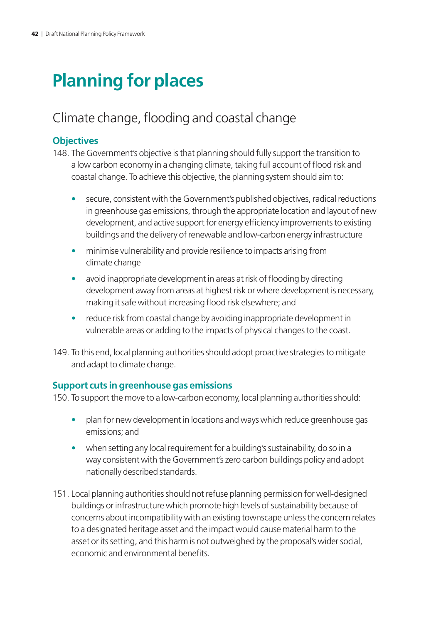# <span id="page-47-0"></span>**Planning for places**

## Climate change, flooding and coastal change

#### **Objectives**

- 148. The Government's objective is that planning should fully support the transition to a low carbon economy in a changing climate, taking full account of flood risk and coastal change. To achieve this objective, the planning system should aim to:
	- secure, consistent with the Government's published objectives, radical reductions in greenhouse gas emissions, through the appropriate location and layout of new development, and active support for energy efficiency improvements to existing buildings and the delivery of renewable and low-carbon energy infrastructure
	- minimise vulnerability and provide resilience to impacts arising from climate change
	- avoid inappropriate development in areas at risk of flooding by directing development away from areas at highest risk or where development is necessary, making it safe without increasing flood risk elsewhere; and
	- reduce risk from coastal change by avoiding inappropriate development in vulnerable areas or adding to the impacts of physical changes to the coast.
- 149. To this end, local planning authorities should adopt proactive strategies to mitigate and adapt to climate change.

#### **Support cuts in greenhouse gas emissions**

150. To support the move to a low-carbon economy, local planning authorities should:

- plan for new development in locations and ways which reduce greenhouse gas emissions; and
- when setting any local requirement for a building's sustainability, do so in a way consistent with the Government's zero carbon buildings policy and adopt nationally described standards.
- 151. Local planning authorities should not refuse planning permission for well-designed buildings or infrastructure which promote high levels of sustainability because of concerns about incompatibility with an existing townscape unless the concern relates to a designated heritage asset and the impact would cause material harm to the asset or its setting, and this harm is not outweighed by the proposal's wider social, economic and environmental benefits.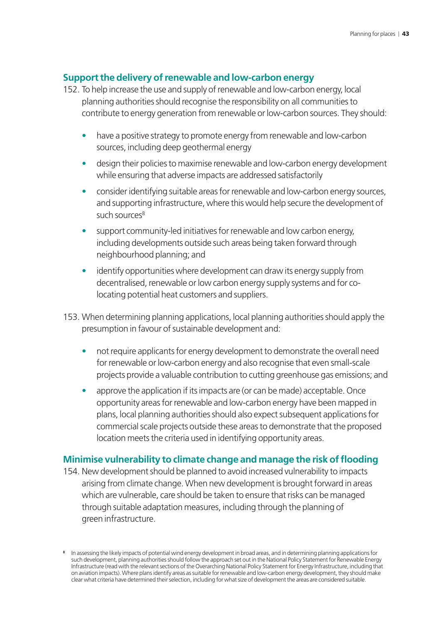#### **Support the delivery of renewable and low-carbon energy**

- 152. To help increase the use and supply of renewable and low-carbon energy, local planning authorities should recognise the responsibility on all communities to contribute to energy generation from renewable or low-carbon sources. They should:
	- have a positive strategy to promote energy from renewable and low-carbon sources, including deep geothermal energy
	- design their policies to maximise renewable and low-carbon energy development while ensuring that adverse impacts are addressed satisfactorily
	- consider identifying suitable areas for renewable and low-carbon energy sources, and supporting infrastructure, where this would help secure the development of such sources<sup>8</sup>
	- support community-led initiatives for renewable and low carbon energy. including developments outside such areas being taken forward through neighbourhood planning; and
	- identify opportunities where development can draw its energy supply from decentralised, renewable or low carbon energy supply systems and for colocating potential heat customers and suppliers.
- 153. When determining planning applications, local planning authorities should apply the presumption in favour of sustainable development and:
	- not require applicants for energy development to demonstrate the overall need for renewable or low-carbon energy and also recognise that even small-scale projects provide a valuable contribution to cutting greenhouse gas emissions; and
	- approve the application if its impacts are (or can be made) acceptable. Once opportunity areas for renewable and low-carbon energy have been mapped in plans, local planning authorities should also expect subsequent applications for commercial scale projects outside these areas to demonstrate that the proposed location meets the criteria used in identifying opportunity areas.

#### **Minimise vulnerability to climate change and manage the risk of flooding**

154. New development should be planned to avoid increased vulnerability to impacts arising from climate change. When new development is brought forward in areas which are vulnerable, care should be taken to ensure that risks can be managed through suitable adaptation measures, including through the planning of green infrastructure.

**<sup>8</sup>** In assessing the likely impacts of potential wind energy development in broad areas, and in determining planning applications for such development, planning authorities should follow the approach set out in the National Policy Statement for Renewable Energy Infrastructure (read with the relevant sections of the Overarching National Policy Statement for Energy Infrastructure, including that on aviation impacts). Where plans identify areas as suitable for renewable and low-carbon energy development, they should make clear what criteria have determined their selection, including for what size of development the areas are considered suitable.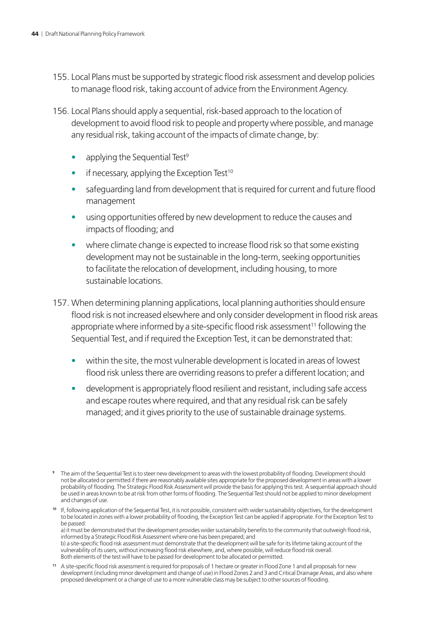- 155. Local Plans must be supported by strategic flood risk assessment and develop policies to manage flood risk, taking account of advice from the Environment Agency.
- 156. Local Plans should apply a sequential, risk-based approach to the location of development to avoid flood risk to people and property where possible, and manage any residual risk, taking account of the impacts of climate change, by:
	- applying the Sequential Test $9$
	- if necessary, applying the Exception Test $10$
	- safeguarding land from development that is required for current and future flood management
	- using opportunities offered by new development to reduce the causes and impacts of flooding; and
	- where climate change is expected to increase flood risk so that some existing development may not be sustainable in the long-term, seeking opportunities to facilitate the relocation of development, including housing, to more sustainable locations.
- 157. When determining planning applications, local planning authorities should ensure flood risk is not increased elsewhere and only consider development in flood risk areas appropriate where informed by a site-specific flood risk assessment<sup>11</sup> following the Sequential Test, and if required the Exception Test, it can be demonstrated that:
	- within the site, the most vulnerable development is located in areas of lowest flood risk unless there are overriding reasons to prefer a different location; and
	- development is appropriately flood resilient and resistant, including safe access and escape routes where required, and that any residual risk can be safely managed; and it gives priority to the use of sustainable drainage systems.

a) it must be demonstrated that the development provides wider sustainability benefits to the community that outweigh flood risk, informed by a Strategic Flood Risk Assessment where one has been prepared; and

b) a site-specific flood risk assessment must demonstrate that the development will be safe for its lifetime taking account of the vulnerability of its users, without increasing flood risk elsewhere, and, where possible, will reduce flood risk overall. Both elements of the test will have to be passed for development to be allocated or permitted.

**<sup>11</sup>** A site-specific flood risk assessment is required for proposals of 1 hectare or greater in Flood Zone 1 and all proposals for new development (including minor development and change of use) in Flood Zones 2 and 3 and Critical Drainage Areas, and also where proposed development or a change of use to a more vulnerable class may be subject to other sources of flooding.

**<sup>9</sup>** The aim of the Sequential Test is to steer new development to areas with the lowest probability of flooding. Development should not be allocated or permitted if there are reasonably available sites appropriate for the proposed development in areas with a lower probability of flooding. The Strategic Flood Risk Assessment will provide the basis for applying this test. A sequential approach should be used in areas known to be at risk from other forms of flooding. The Sequential Test should not be applied to minor development and changes of use.

**<sup>10</sup>** If, following application of the Sequential Test, it is not possible, consistent with wider sustainability objectives, for the development to be located in zones with a lower probability of flooding, the Exception Test can be applied if appropriate. For the Exception Test to be passed: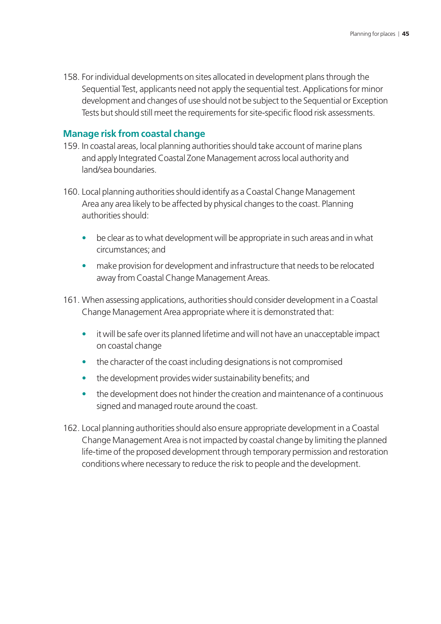158. For individual developments on sites allocated in development plans through the Sequential Test, applicants need not apply the sequential test. Applications for minor development and changes of use should not be subject to the Sequential or Exception Tests but should still meet the requirements for site-specific flood risk assessments.

#### **Manage risk from coastal change**

- 159. In coastal areas, local planning authorities should take account of marine plans and apply Integrated Coastal Zone Management across local authority and land/sea boundaries.
- 160. Local planning authorities should identify as a Coastal Change Management Area any area likely to be affected by physical changes to the coast. Planning authorities should:
	- be clear as to what development will be appropriate in such areas and in what circumstances; and
	- make provision for development and infrastructure that needs to be relocated away from Coastal Change Management Areas.
- 161. When assessing applications, authorities should consider development in a Coastal Change Management Area appropriate where it is demonstrated that:
	- it will be safe over its planned lifetime and will not have an unacceptable impact on coastal change
	- the character of the coast including designations is not compromised
	- the development provides wider sustainability benefits; and
	- the development does not hinder the creation and maintenance of a continuous signed and managed route around the coast.
- 162. Local planning authorities should also ensure appropriate development in a Coastal Change Management Area is not impacted by coastal change by limiting the planned life-time of the proposed development through temporary permission and restoration conditions where necessary to reduce the risk to people and the development.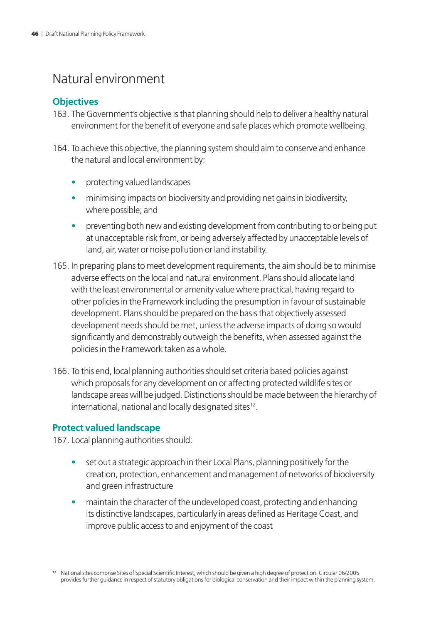## <span id="page-51-0"></span>Natural environment

#### **Objectives**

- 163. The Government's objective is that planning should help to deliver a healthy natural environment for the benefit of everyone and safe places which promote wellbeing.
- 164. To achieve this objective, the planning system should aim to conserve and enhance the natural and local environment by:
	- protecting valued landscapes
	- minimising impacts on biodiversity and providing net gains in biodiversity, where possible; and
	- preventing both new and existing development from contributing to or being put at unacceptable risk from, or being adversely affected by unacceptable levels of land, air, water or noise pollution or land instability.
- 165. In preparing plans to meet development requirements, the aim should be to minimise adverse effects on the local and natural environment. Plans should allocate land with the least environmental or amenity value where practical, having regard to other policies in the Framework including the presumption in favour of sustainable development. Plans should be prepared on the basis that objectively assessed development needs should be met, unless the adverse impacts of doing so would significantly and demonstrably outweigh the benefits, when assessed against the policies in the Framework taken as a whole.
- 166. To this end, local planning authorities should set criteria based policies against which proposals for any development on or affecting protected wildlife sites or landscape areas will be judged. Distinctions should be made between the hierarchy of international, national and locally designated sites<sup>12</sup>.

#### **Protect valued landscape**

167. Local planning authorities should:

- set out a strategic approach in their Local Plans, planning positively for the creation, protection, enhancement and management of networks of biodiversity and green infrastructure
- maintain the character of the undeveloped coast, protecting and enhancing its distinctive landscapes, particularly in areas defined as Heritage Coast, and improve public access to and enjoyment of the coast

**<sup>12</sup>** National sites comprise Sites of Special Scientific Interest, which should be given a high degree of protection. Circular 06/2005 provides further guidance in respect of statutory obligations for biological conservation and their impact within the planning system.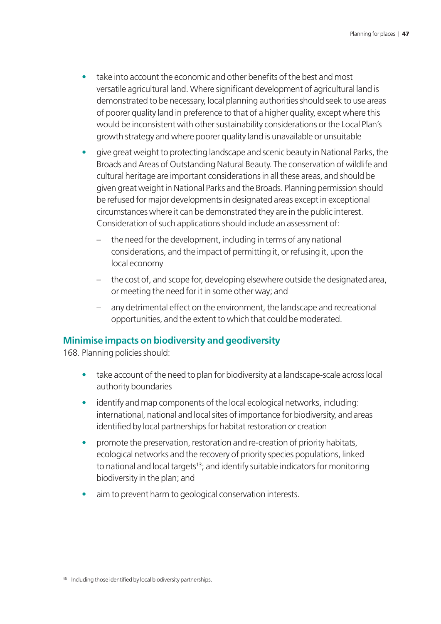- take into account the economic and other benefits of the best and most versatile agricultural land. Where significant development of agricultural land is demonstrated to be necessary, local planning authorities should seek to use areas of poorer quality land in preference to that of a higher quality, except where this would be inconsistent with other sustainability considerations or the Local Plan's growth strategy and where poorer quality land is unavailable or unsuitable
- give great weight to protecting landscape and scenic beauty in National Parks, the Broads and Areas of Outstanding Natural Beauty. The conservation of wildlife and cultural heritage are important considerations in all these areas, and should be given great weight in National Parks and the Broads. Planning permission should be refused for major developments in designated areas except in exceptional circumstances where it can be demonstrated they are in the public interest. Consideration of such applications should include an assessment of:
	- the need for the development, including in terms of any national considerations, and the impact of permitting it, or refusing it, upon the local economy
	- the cost of, and scope for, developing elsewhere outside the designated area, or meeting the need for it in some other way; and
	- any detrimental effect on the environment, the landscape and recreational opportunities, and the extent to which that could be moderated.

#### **Minimise impacts on biodiversity and geodiversity**

168. Planning policies should:

- take account of the need to plan for biodiversity at a landscape-scale across local authority boundaries
- identify and map components of the local ecological networks, including: international, national and local sites of importance for biodiversity, and areas identified by local partnerships for habitat restoration or creation
- promote the preservation, restoration and re-creation of priority habitats, ecological networks and the recovery of priority species populations, linked to national and local targets<sup>13</sup>; and identify suitable indicators for monitoring biodiversity in the plan; and
- aim to prevent harm to geological conservation interests.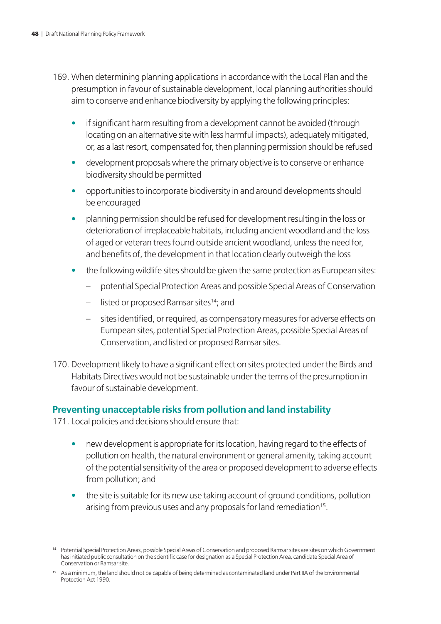- 169. When determining planning applications in accordance with the Local Plan and the presumption in favour of sustainable development, local planning authorities should aim to conserve and enhance biodiversity by applying the following principles:
	- if significant harm resulting from a development cannot be avoided (through locating on an alternative site with less harmful impacts), adequately mitigated, or, as a last resort, compensated for, then planning permission should be refused
	- development proposals where the primary objective is to conserve or enhance biodiversity should be permitted
	- • opportunities to incorporate biodiversity in and around developments should be encouraged
	- planning permission should be refused for development resulting in the loss or deterioration of irreplaceable habitats, including ancient woodland and the loss of aged or veteran trees found outside ancient woodland, unless the need for, and benefits of, the development in that location clearly outweigh the loss
	- the following wildlife sites should be given the same protection as European sites:
		- potential Special Protection Areas and possible Special Areas of Conservation
		- listed or proposed Ramsar sites<sup>14</sup>; and
		- sites identified, or required, as compensatory measures for adverse effects on European sites, potential Special Protection Areas, possible Special Areas of Conservation, and listed or proposed Ramsar sites.
- 170. Development likely to have a significant effect on sites protected under the Birds and Habitats Directives would not be sustainable under the terms of the presumption in favour of sustainable development.

#### **Preventing unacceptable risks from pollution and land instability**

171. Local policies and decisions should ensure that:

- new development is appropriate for its location, having regard to the effects of pollution on health, the natural environment or general amenity, taking account of the potential sensitivity of the area or proposed development to adverse effects from pollution; and
- the site is suitable for its new use taking account of ground conditions, pollution arising from previous uses and any proposals for land remediation<sup>15</sup>.

**<sup>14</sup>** Potential Special Protection Areas, possible Special Areas of Conservation and proposed Ramsar sites are sites on which Government has initiated public consultation on the scientific case for designation as a Special Protection Area, candidate Special Area of Conservation or Ramsar site.

**<sup>15</sup>** As a minimum, the land should not be capable of being determined as contaminated land under Part IIA of the Environmental Protection Act 1990.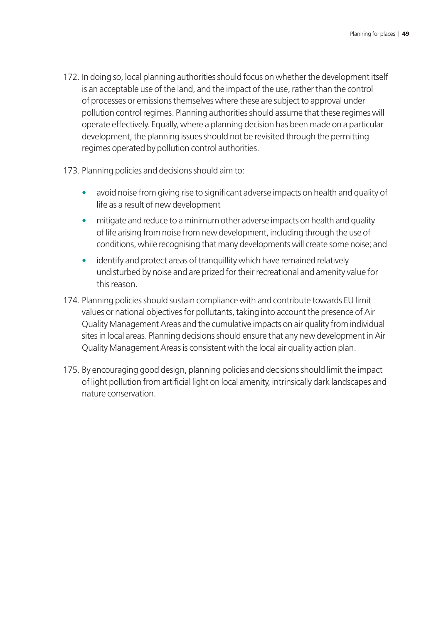- 172. In doing so, local planning authorities should focus on whether the development itself is an acceptable use of the land, and the impact of the use, rather than the control of processes or emissions themselves where these are subject to approval under pollution control regimes. Planning authorities should assume that these regimes will operate effectively. Equally, where a planning decision has been made on a particular development, the planning issues should not be revisited through the permitting regimes operated by pollution control authorities.
- 173. Planning policies and decisions should aim to:
	- avoid noise from giving rise to significant adverse impacts on health and quality of life as a result of new development
	- mitigate and reduce to a minimum other adverse impacts on health and quality of life arising from noise from new development, including through the use of conditions, while recognising that many developments will create some noise; and
	- identify and protect areas of tranquillity which have remained relatively undisturbed by noise and are prized for their recreational and amenity value for this reason.
- 174. Planning policies should sustain compliance with and contribute towards EU limit values or national objectives for pollutants, taking into account the presence of Air Quality Management Areas and the cumulative impacts on air quality from individual sites in local areas. Planning decisions should ensure that any new development in Air Quality Management Areas is consistent with the local air quality action plan.
- 175. By encouraging good design, planning policies and decisions should limit the impact of light pollution from artificial light on local amenity, intrinsically dark landscapes and nature conservation.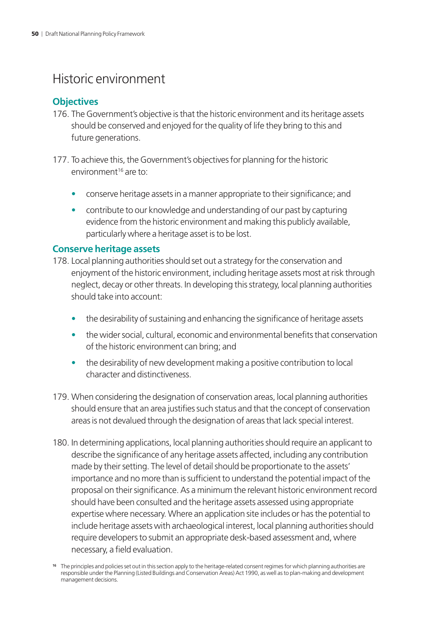## <span id="page-55-0"></span>Historic environment

#### **Objectives**

- 176. The Government's objective is that the historic environment and its heritage assets should be conserved and enjoyed for the quality of life they bring to this and future generations.
- 177. To achieve this, the Government's objectives for planning for the historic environment<sup>16</sup> are to:
	- conserve heritage assets in a manner appropriate to their significance; and
	- contribute to our knowledge and understanding of our past by capturing evidence from the historic environment and making this publicly available, particularly where a heritage asset is to be lost.

#### **Conserve heritage assets**

- 178. Local planning authorities should set out a strategy for the conservation and enjoyment of the historic environment, including heritage assets most at risk through neglect, decay or other threats. In developing this strategy, local planning authorities should take into account:
	- the desirability of sustaining and enhancing the significance of heritage assets
	- the wider social, cultural, economic and environmental benefits that conservation of the historic environment can bring; and
	- $\bullet$  the desirability of new development making a positive contribution to local character and distinctiveness.
- 179. When considering the designation of conservation areas, local planning authorities should ensure that an area justifies such status and that the concept of conservation areas is not devalued through the designation of areas that lack special interest.
- 180. In determining applications, local planning authorities should require an applicant to describe the significance of any heritage assets affected, including any contribution made by their setting. The level of detail should be proportionate to the assets' importance and no more than is sufficient to understand the potential impact of the proposal on their significance. As a minimum the relevant historic environment record should have been consulted and the heritage assets assessed using appropriate expertise where necessary. Where an application site includes or has the potential to include heritage assets with archaeological interest, local planning authorities should require developers to submit an appropriate desk-based assessment and, where necessary, a field evaluation.

**<sup>16</sup>** The principles and policies set out in this section apply to the heritage-related consent regimes for which planning authorities are responsible under the Planning (Listed Buildings and Conservation Areas) Act 1990, as well as to plan-making and development management decisions.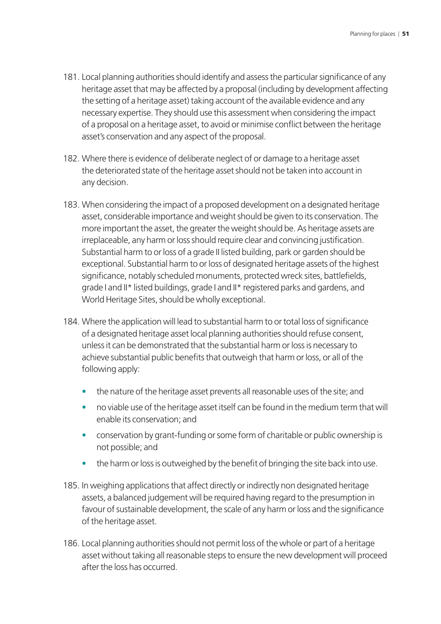- 181. Local planning authorities should identify and assess the particular significance of any heritage asset that may be affected by a proposal (including by development affecting the setting of a heritage asset) taking account of the available evidence and any necessary expertise. They should use this assessment when considering the impact of a proposal on a heritage asset, to avoid or minimise conflict between the heritage asset's conservation and any aspect of the proposal.
- 182. Where there is evidence of deliberate neglect of or damage to a heritage asset the deteriorated state of the heritage asset should not be taken into account in any decision.
- 183. When considering the impact of a proposed development on a designated heritage asset, considerable importance and weight should be given to its conservation. The more important the asset, the greater the weight should be. As heritage assets are irreplaceable, any harm or loss should require clear and convincing justification. Substantial harm to or loss of a grade II listed building, park or garden should be exceptional. Substantial harm to or loss of designated heritage assets of the highest significance, notably scheduled monuments, protected wreck sites, battlefields, grade I and II\* listed buildings, grade I and II\* registered parks and gardens, and World Heritage Sites, should be wholly exceptional.
- 184. Where the application will lead to substantial harm to or total loss of significance of a designated heritage asset local planning authorities should refuse consent, unless it can be demonstrated that the substantial harm or loss is necessary to achieve substantial public benefits that outweigh that harm or loss, or all of the following apply:
	- the nature of the heritage asset prevents all reasonable uses of the site; and
	- no viable use of the heritage asset itself can be found in the medium term that will enable its conservation; and
	- conservation by grant-funding or some form of charitable or public ownership is not possible; and
	- the harm or loss is outweighed by the benefit of bringing the site back into use.
- 185. In weighing applications that affect directly or indirectly non designated heritage assets, a balanced judgement will be required having regard to the presumption in favour of sustainable development, the scale of any harm or loss and the significance of the heritage asset.
- 186. Local planning authorities should not permit loss of the whole or part of a heritage asset without taking all reasonable steps to ensure the new development will proceed after the loss has occurred.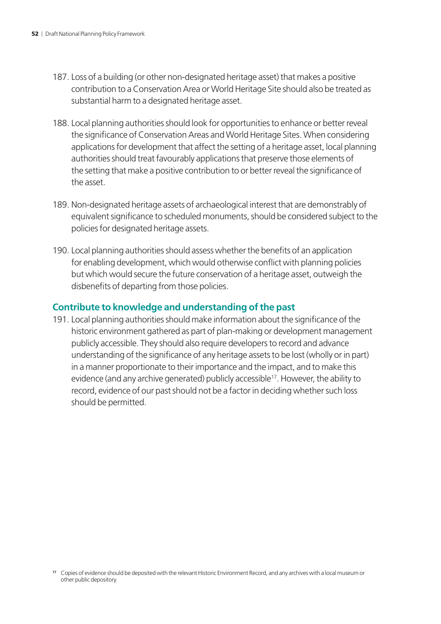- 187. Loss of a building (or other non-designated heritage asset) that makes a positive contribution to a Conservation Area or World Heritage Site should also be treated as substantial harm to a designated heritage asset.
- 188. Local planning authorities should look for opportunities to enhance or better reveal the significance of Conservation Areas and World Heritage Sites. When considering applications for development that affect the setting of a heritage asset, local planning authorities should treat favourably applications that preserve those elements of the setting that make a positive contribution to or better reveal the significance of the asset.
- 189. Non-designated heritage assets of archaeological interest that are demonstrably of equivalent significance to scheduled monuments, should be considered subject to the policies for designated heritage assets.
- 190. Local planning authorities should assess whether the benefits of an application for enabling development, which would otherwise conflict with planning policies but which would secure the future conservation of a heritage asset, outweigh the disbenefits of departing from those policies.

#### **Contribute to knowledge and understanding of the past**

191. Local planning authorities should make information about the significance of the historic environment gathered as part of plan-making or development management publicly accessible. They should also require developers to record and advance understanding of the significance of any heritage assets to be lost (wholly or in part) in a manner proportionate to their importance and the impact, and to make this evidence (and any archive generated) publicly accessible<sup>17</sup>. However, the ability to record, evidence of our past should not be a factor in deciding whether such loss should be permitted.

**<sup>17</sup>** Copies of evidence should be deposited with the relevant Historic Environment Record, and any archives with a local museum or other public depository.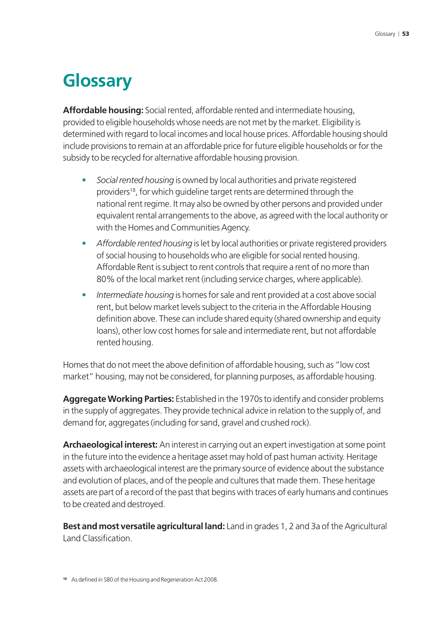# <span id="page-58-0"></span>**Glossary**

**Affordable housing:** Social rented, affordable rented and intermediate housing, provided to eligible households whose needs are not met by the market. Eligibility is determined with regard to local incomes and local house prices. Affordable housing should include provisions to remain at an affordable price for future eligible households or for the subsidy to be recycled for alternative affordable housing provision.

- Social rented housing is owned by local authorities and private registered providers18, for which guideline target rents are determined through the national rent regime. It may also be owned by other persons and provided under equivalent rental arrangements to the above, as agreed with the local authority or with the Homes and Communities Agency.
- Affordable rented housing is let by local authorities or private registered providers of social housing to households who are eligible for social rented housing. Affordable Rent is subject to rent controls that require a rent of no more than 80% of the local market rent (including service charges, where applicable).
- Intermediate housing is homes for sale and rent provided at a cost above social rent, but below market levels subject to the criteria in the Affordable Housing definition above. These can include shared equity (shared ownership and equity loans), other low cost homes for sale and intermediate rent, but not affordable rented housing.

Homes that do not meet the above definition of affordable housing, such as "low cost market" housing, may not be considered, for planning purposes, as affordable housing.

**Aggregate Working Parties:** Established in the 1970s to identify and consider problems in the supply of aggregates. They provide technical advice in relation to the supply of, and demand for, aggregates (including for sand, gravel and crushed rock).

**Archaeological interest:** An interest in carrying out an expert investigation at some point in the future into the evidence a heritage asset may hold of past human activity. Heritage assets with archaeological interest are the primary source of evidence about the substance and evolution of places, and of the people and cultures that made them. These heritage assets are part of a record of the past that begins with traces of early humans and continues to be created and destroyed.

**Best and most versatile agricultural land:** Land in grades 1, 2 and 3a of the Agricultural Land Classification.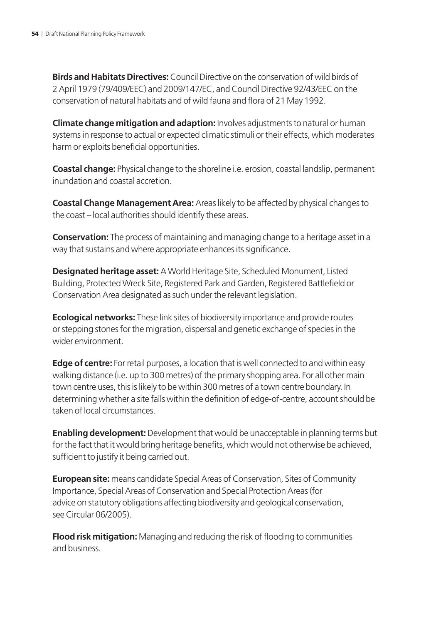**Birds and Habitats Directives:** Council Directive on the conservation of wild birds of 2 April 1979 (79/409/EEC) and 2009/147/EC, and Council Directive 92/43/EEC on the conservation of natural habitats and of wild fauna and flora of 21 May 1992.

**Climate change mitigation and adaption:** Involves adjustments to natural or human systems in response to actual or expected climatic stimuli or their effects, which moderates harm or exploits beneficial opportunities.

**Coastal change:** Physical change to the shoreline i.e. erosion, coastal landslip, permanent inundation and coastal accretion.

**Coastal Change Management Area:** Areas likely to be affected by physical changes to the coast – local authorities should identify these areas.

**Conservation:** The process of maintaining and managing change to a heritage asset in a way that sustains and where appropriate enhances its significance.

**Designated heritage asset:** A World Heritage Site, Scheduled Monument, Listed Building, Protected Wreck Site, Registered Park and Garden, Registered Battlefield or Conservation Area designated as such under the relevant legislation.

**Ecological networks:** These link sites of biodiversity importance and provide routes or stepping stones for the migration, dispersal and genetic exchange of species in the wider environment.

**Edge of centre:** For retail purposes, a location that is well connected to and within easy walking distance (i.e. up to 300 metres) of the primary shopping area. For all other main town centre uses, this is likely to be within 300 metres of a town centre boundary. In determining whether a site falls within the definition of edge-of-centre, account should be taken of local circumstances.

**Enabling development:** Development that would be unacceptable in planning terms but for the fact that it would bring heritage benefits, which would not otherwise be achieved, sufficient to justify it being carried out.

**European site:** means candidate Special Areas of Conservation, Sites of Community Importance, Special Areas of Conservation and Special Protection Areas (for advice on statutory obligations affecting biodiversity and geological conservation, see Circular 06/2005).

**Flood risk mitigation:** Managing and reducing the risk of flooding to communities and business.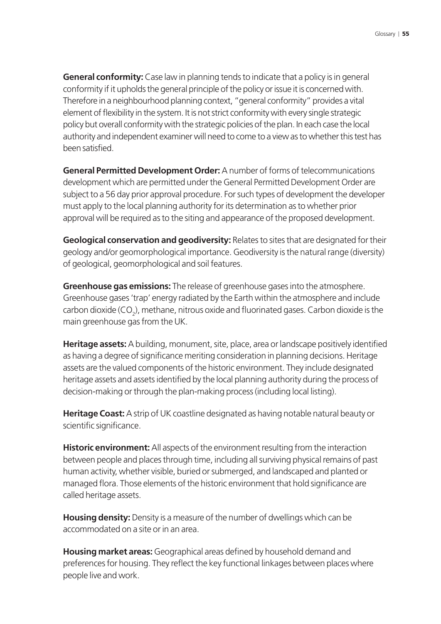**General conformity:** Case law in planning tends to indicate that a policy is in general conformity if it upholds the general principle of the policy or issue it is concerned with. Therefore in a neighbourhood planning context, "general conformity" provides a vital element of flexibility in the system. It is not strict conformity with every single strategic policy but overall conformity with the strategic policies of the plan. In each case the local authority and independent examiner will need to come to a view as to whether this test has been satisfied.

**General Permitted Development Order:** A number of forms of telecommunications development which are permitted under the General Permitted Development Order are subject to a 56 day prior approval procedure. For such types of development the developer must apply to the local planning authority for its determination as to whether prior approval will be required as to the siting and appearance of the proposed development.

**Geological conservation and geodiversity:** Relates to sites that are designated for their geology and/or geomorphological importance. Geodiversity is the natural range (diversity) of geological, geomorphological and soil features.

**Greenhouse gas emissions:** The release of greenhouse gases into the atmosphere. Greenhouse gases 'trap' energy radiated by the Earth within the atmosphere and include carbon dioxide (CO<sub>2</sub>), methane, nitrous oxide and fluorinated gases. Carbon dioxide is the main greenhouse gas from the UK.

**Heritage assets:** A building, monument, site, place, area or landscape positively identified as having a degree of significance meriting consideration in planning decisions. Heritage assets are the valued components of the historic environment. They include designated heritage assets and assets identified by the local planning authority during the process of decision-making or through the plan-making process (including local listing).

**Heritage Coast:** A strip of UK coastline designated as having notable natural beauty or scientific significance.

**Historic environment:** All aspects of the environment resulting from the interaction between people and places through time, including all surviving physical remains of past human activity, whether visible, buried or submerged, and landscaped and planted or managed flora. Those elements of the historic environment that hold significance are called heritage assets.

**Housing density:** Density is a measure of the number of dwellings which can be accommodated on a site or in an area.

**Housing market areas:** Geographical areas defined by household demand and preferences for housing. They reflect the key functional linkages between places where people live and work.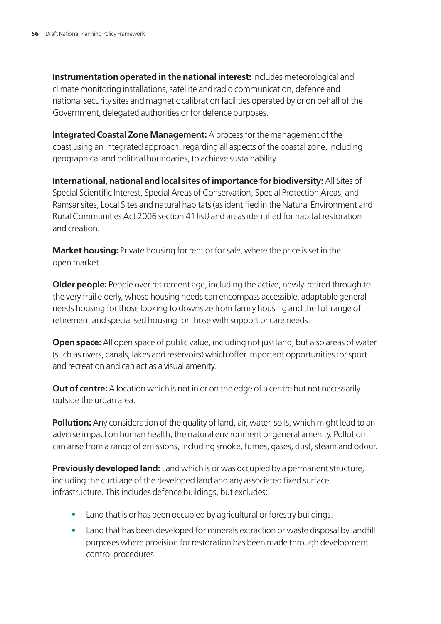**Instrumentation operated in the national interest:** Includes meteorological and climate monitoring installations, satellite and radio communication, defence and national security sites and magnetic calibration facilities operated by or on behalf of the Government, delegated authorities or for defence purposes.

**Integrated Coastal Zone Management:** A process for the management of the coast using an integrated approach, regarding all aspects of the coastal zone, including geographical and political boundaries, to achieve sustainability.

**International, national and local sites of importance for biodiversity:** All Sites of Special Scientific Interest, Special Areas of Conservation, Special Protection Areas, and Ramsar sites, Local Sites and natural habitats (as identified in the Natural Environment and Rural Communities Act 2006 section 41 list*)* and areas identified for habitat restoration and creation.

**Market housing:** Private housing for rent or for sale, where the price is set in the open market.

**Older people:** People over retirement age, including the active, newly-retired through to the very frail elderly, whose housing needs can encompass accessible, adaptable general needs housing for those looking to downsize from family housing and the full range of retirement and specialised housing for those with support or care needs.

**Open space:** All open space of public value, including not just land, but also areas of water (such as rivers, canals, lakes and reservoirs) which offer important opportunities for sport and recreation and can act as a visual amenity.

**Out of centre:** A location which is not in or on the edge of a centre but not necessarily outside the urban area.

**Pollution:** Any consideration of the quality of land, air, water, soils, which might lead to an adverse impact on human health, the natural environment or general amenity. Pollution can arise from a range of emissions, including smoke, fumes, gases, dust, steam and odour.

**Previously developed land:** Land which is or was occupied by a permanent structure, including the curtilage of the developed land and any associated fixed surface infrastructure. This includes defence buildings, but excludes:

- Land that is or has been occupied by agricultural or forestry buildings.
- Land that has been developed for minerals extraction or waste disposal by landfill purposes where provision for restoration has been made through development control procedures.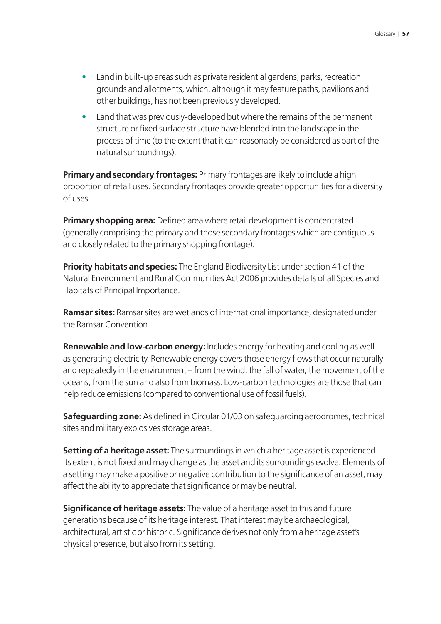- Land in built-up areas such as private residential gardens, parks, recreation grounds and allotments, which, although it may feature paths, pavilions and other buildings, has not been previously developed.
- Land that was previously-developed but where the remains of the permanent structure or fixed surface structure have blended into the landscape in the process of time (to the extent that it can reasonably be considered as part of the natural surroundings).

**Primary and secondary frontages:** Primary frontages are likely to include a high proportion of retail uses. Secondary frontages provide greater opportunities for a diversity of uses.

**Primary shopping area:** Defined area where retail development is concentrated (generally comprising the primary and those secondary frontages which are contiguous and closely related to the primary shopping frontage).

**Priority habitats and species:** The England Biodiversity List under section 41 of the Natural Environment and Rural Communities Act 2006 provides details of all Species and Habitats of Principal Importance.

**Ramsar sites:** Ramsar sites are wetlands of international importance, designated under the Ramsar Convention.

**Renewable and low-carbon energy:** Includes energy for heating and cooling as well as generating electricity. Renewable energy covers those energy flows that occur naturally and repeatedly in the environment – from the wind, the fall of water, the movement of the oceans, from the sun and also from biomass. Low-carbon technologies are those that can help reduce emissions (compared to conventional use of fossil fuels).

**Safeguarding zone:** As defined in Circular 01/03 on safeguarding aerodromes, technical sites and military explosives storage areas.

**Setting of a heritage asset:** The surroundings in which a heritage asset is experienced. Its extent is not fixed and may change as the asset and its surroundings evolve. Elements of a setting may make a positive or negative contribution to the significance of an asset, may affect the ability to appreciate that significance or may be neutral.

**Significance of heritage assets:** The value of a heritage asset to this and future generations because of its heritage interest. That interest may be archaeological, architectural, artistic or historic. Significance derives not only from a heritage asset's physical presence, but also from its setting.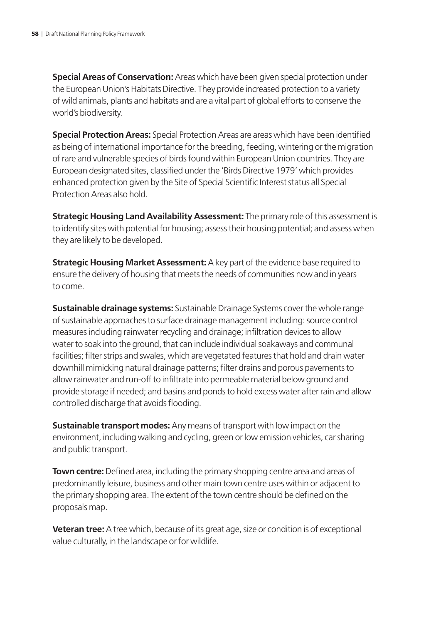**Special Areas of Conservation:** Areas which have been given special protection under the European Union's Habitats Directive. They provide increased protection to a variety of wild animals, plants and habitats and are a vital part of global efforts to conserve the world's biodiversity.

**Special Protection Areas:** Special Protection Areas are areas which have been identified as being of international importance for the breeding, feeding, wintering or the migration of rare and vulnerable species of birds found within European Union countries. They are European designated sites, classified under the 'Birds Directive 1979' which provides enhanced protection given by the Site of Special Scientific Interest status all Special Protection Areas also hold.

**Strategic Housing Land Availability Assessment:** The primary role of this assessment is to identify sites with potential for housing; assess their housing potential; and assess when they are likely to be developed.

**Strategic Housing Market Assessment:** A key part of the evidence base required to ensure the delivery of housing that meets the needs of communities now and in years to come.

**Sustainable drainage systems:** Sustainable Drainage Systems cover the whole range of sustainable approaches to surface drainage management including: source control measures including rainwater recycling and drainage; infiltration devices to allow water to soak into the ground, that can include individual soakaways and communal facilities; filter strips and swales, which are vegetated features that hold and drain water downhill mimicking natural drainage patterns; filter drains and porous pavements to allow rainwater and run-off to infiltrate into permeable material below ground and provide storage if needed; and basins and ponds to hold excess water after rain and allow controlled discharge that avoids flooding.

**Sustainable transport modes:** Any means of transport with low impact on the environment, including walking and cycling, green or low emission vehicles, car sharing and public transport.

**Town centre:** Defined area, including the primary shopping centre area and areas of predominantly leisure, business and other main town centre uses within or adjacent to the primary shopping area. The extent of the town centre should be defined on the proposals map.

**Veteran tree:** A tree which, because of its great age, size or condition is of exceptional value culturally, in the landscape or for wildlife.